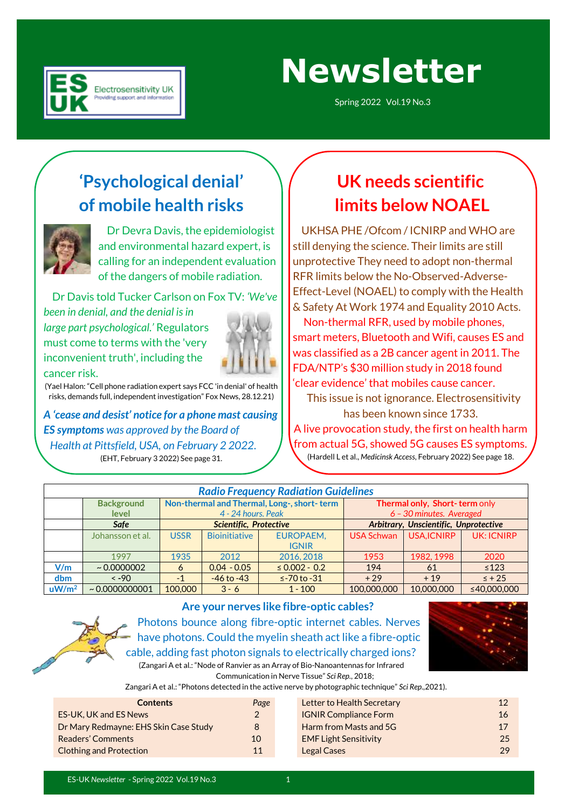

## **Newsletter**

Spring 2022 Vol.19 No.3

### **'Psychological denial' of mobile health risks**



 Dr Devra Davis, the epidemiologist and environmental hazard expert, is calling for an independent evaluation of the dangers of mobile radiation.

Dr Davis told Tucker Carlson on Fox TV: *'We've* 

*been in denial, and the denial is in large part psychological.'* Regulators must come to terms with the 'very inconvenient truth', including the



cancer risk.

(Yael Halon: "Cell phone radiation expert says FCC 'in denial' of health risks, demands full, independent investigation" Fox News, 28.12.21)

*A 'cease and desist' notice for a phone mast causing ES symptoms was approved by the Board of Health at Pittsfield, USA, on February 2 2022.* (EHT, February 3 2022) See page 31.

### **UK needs scientific limits below NOAEL**

 UKHSA PHE /Ofcom / ICNIRP and WHO are still denying the science. Their limits are still unprotective They need to adopt non-thermal RFR limits below the No-Observed-Adverse-Effect-Level (NOAEL) to comply with the Health & Safety At Work 1974 and Equality 2010 Acts.

 Non-thermal RFR, used by mobile phones, smart meters, Bluetooth and Wifi, causes ES and was classified as a 2B cancer agent in 2011. The FDA/NTP's \$30 million study in 2018 found 'clear evidence' that mobiles cause cancer.

 This issue is not ignorance. Electrosensitivity has been known since 1733. A live provocation study, the first on health harm from actual 5G, showed 5G causes ES symptoms. (Hardell L et al., *Medicinsk Access*, February 2022) See page 18.

|                   |                      |             |                        | <b>Radio Frequency Radiation Guidelines</b> |                   |                                       |                   |
|-------------------|----------------------|-------------|------------------------|---------------------------------------------|-------------------|---------------------------------------|-------------------|
|                   | <b>Background</b>    |             |                        | Non-thermal and Thermal, Long-, short-term  |                   | Thermal only, Short-term only         |                   |
|                   | level                |             | 4 - 24 hours. Peak     |                                             |                   | 6 - 30 minutes. Averaged              |                   |
|                   | <b>Safe</b>          |             | Scientific, Protective |                                             |                   | Arbitrary, Unscientific, Unprotective |                   |
|                   | Johansson et al.     | <b>USSR</b> | <b>Bioinitiative</b>   | EUROPAEM.                                   | <b>USA Schwan</b> | USA, ICNIRP                           | <b>UK: ICNIRP</b> |
|                   |                      |             |                        | <b>IGNIR</b>                                |                   |                                       |                   |
|                   | 1997                 | 1935        | 2012                   | 2016, 2018                                  | 1953              | 1982, 1998                            | 2020              |
| V/m               | $\sim 0.0000002$     | 6           | $0.04 - 0.05$          | $\leq 0.002 - 0.2$                          | 194               | 61                                    | $\leq 123$        |
| dbm               | $\leq -90$           | $-1$        | $-46$ to $-43$         | $\le$ -70 to -31                            | $+29$             | $+19$                                 | $\leq$ + 25       |
| uW/m <sup>2</sup> | $\sim 0.00000000001$ | 100,000     | $3 - 6$                | $1 - 100$                                   | 100,000,000       | 10,000,000                            | ≤40,000,000       |



#### **Are your nerves like fibre-optic cables?**

Photons bounce along fibre-optic internet cables. Nerves have photons. Could the myelin sheath act like a fibre-optic cable, adding fast photon signals to electrically charged ions? (Zangari A et al.: "Node of Ranvier as an Array of Bio-Nanoantennas for Infrared



Communication in Nerve Tissue" *Sci Rep.*, 2018;

Zangari A et al.: "Photons detected in the active nerve by photographic technique" *Sci Rep.,*2021).

| <b>Contents</b>                       | Page | Letter to Health Secretary   | 12 |
|---------------------------------------|------|------------------------------|----|
| <b>ES-UK, UK and ES News</b>          |      | <b>IGNIR Compliance Form</b> | 16 |
| Dr Mary Redmayne: EHS Skin Case Study | 8    | Harm from Masts and 5G       | 17 |
| <b>Readers' Comments</b>              | 10   | <b>EMF Light Sensitivity</b> | 25 |
| <b>Clothing and Protection</b>        | 11   | <b>Legal Cases</b>           | 29 |
|                                       |      |                              |    |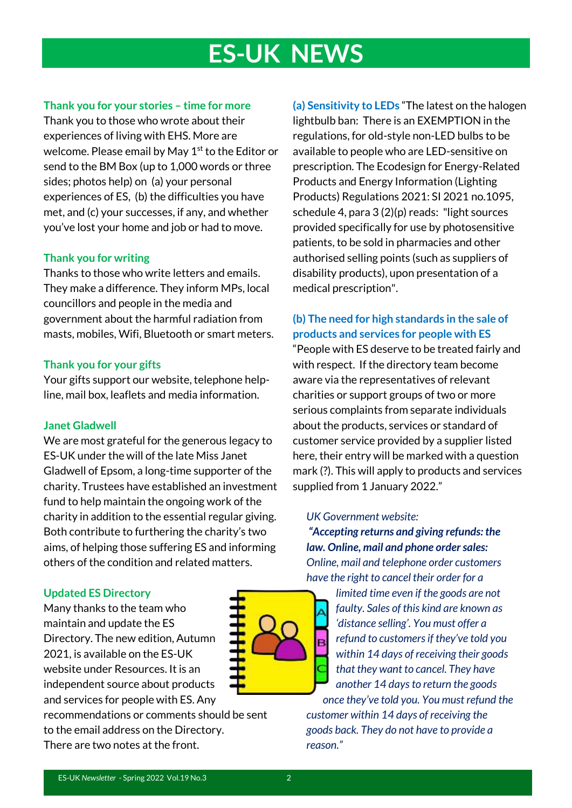## **ES-UK NEWS**

#### **Thank you for your stories – time for more**

Thank you to those who wrote about their experiences of living with EHS. More are welcome. Please email by May 1<sup>st</sup> to the Editor or send to the BM Box (up to 1,000 words or three sides; photos help) on (a) your personal experiences of ES, (b) the difficulties you have met, and (c) your successes, if any, and whether you've lost your home and job or had to move.

#### **Thank you for writing**

Thanks to those who write letters and emails. They make a difference. They inform MPs, local councillors and people in the media and government about the harmful radiation from masts, mobiles, Wifi, Bluetooth or smart meters.

#### **Thank you for your gifts**

Your gifts support our website, telephone helpline, mail box, leaflets and media information.

#### **Janet Gladwell**

We are most grateful for the generous legacy to ES-UK under the will of the late Miss Janet Gladwell of Epsom, a long-time supporter of the charity. Trustees have established an investment fund to help maintain the ongoing work of the charity in addition to the essential regular giving. Both contribute to furthering the charity's two aims, of helping those suffering ES and informing others of the condition and related matters.

#### **Updated ES Directory**

Many thanks to the team who maintain and update the ES Directory. The new edition, Autumn 2021, is available on the ES-UK website under Resources. It is an independent source about products and services for people with ES. Any

recommendations or comments should be sent to the email address on the Directory. There are two notes at the front.

**(a) Sensitivity to LEDs** "The latest on the halogen lightbulb ban: There is an EXEMPTION in the regulations, for old-style non-LED bulbs to be available to people who are LED-sensitive on prescription. The Ecodesign for Energy-Related Products and Energy Information (Lighting Products) Regulations 2021: SI 2021 no.1095, schedule 4, para 3 (2)(p) reads: "light sources provided specifically for use by photosensitive patients, to be sold in pharmacies and other authorised selling points (such as suppliers of disability products), upon presentation of a medical prescription".

#### **(b) The need for high standards in the sale of products and services for people with ES**

"People with ES deserve to be treated fairly and with respect. If the directory team become aware via the representatives of relevant charities or support groups of two or more serious complaints from separate individuals about the products, services or standard of customer service provided by a supplier listed here, their entry will be marked with a question mark (?). This will apply to products and services supplied from 1 January 2022."

#### *UK Government website:*

*"Accepting returns and giving refunds: the law. Online, mail and phone order sales: Online, mail and telephone order customers have the right to cancel their order for a* 

*limited time even if the goods are not faulty. Sales of this kind are known as 'distance selling'. You must offer a refund to customers if they've told you within 14 days of receiving their goods that they want to cancel. They have another 14 days to return the goods once they've told you. You must refund the* 

*customer within 14 days of receiving the goods back. They do not have to provide a reason."*

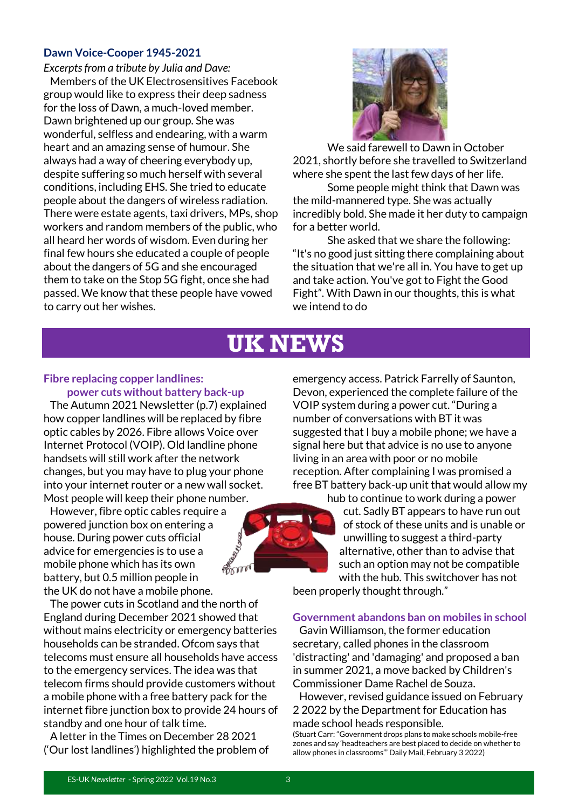#### **Dawn Voice-Cooper 1945-2021**

*Excerpts from a tribute by Julia and Dave:* Members of the UK Electrosensitives Facebook group would like to express their deep sadness for the loss of Dawn, a much-loved member. Dawn brightened up our group. She was wonderful, selfless and endearing, with a warm heart and an amazing sense of humour. She always had a way of cheering everybody up, despite suffering so much herself with several conditions, including EHS. She tried to educate people about the dangers of wireless radiation. There were estate agents, taxi drivers, MPs, shop workers and random members of the public, who all heard her words of wisdom. Even during her final few hours she educated a couple of people about the dangers of 5G and she encouraged them to take on the Stop 5G fight, once she had passed. We know that these people have vowed to carry out her wishes.



We said farewell to Dawn in October 2021, shortly before she travelled to Switzerland where she spent the last few days of her life.

Some people might think that Dawn was the mild-mannered type. She was actually incredibly bold. She made it her duty to campaign for a better world.

She asked that we share the following: "It's no good just sitting there complaining about the situation that we're all in. You have to get up and take action. You've got to Fight the Good Fight". With Dawn in our thoughts, this is what we intend to do

### **UK NEWS**

#### **Fibre replacing copper landlines: power cuts without battery back-up**

 The Autumn 2021 Newsletter (p.7) explained how copper landlines will be replaced by fibre optic cables by 2026. Fibre allows Voice over Internet Protocol (VOIP). Old landline phone handsets will still work after the network changes, but you may have to plug your phone into your internet router or a new wall socket. Most people will keep their phone number.

 However, fibre optic cables require a powered junction box on entering a house. During power cuts official advice for emergencies is to use a mobile phone which has its own battery, but 0.5 million people in the UK do not have a mobile phone.

 The power cuts in Scotland and the north of England during December 2021 showed that without mains electricity or emergency batteries households can be stranded. Ofcom says that telecoms must ensure all households have access to the emergency services. The idea was that telecom firms should provide customers without a mobile phone with a free battery pack for the internet fibre junction box to provide 24 hours of standby and one hour of talk time.

 A letter in the Times on December 28 2021 ('Our lost landlines') highlighted the problem of



emergency access. Patrick Farrelly of Saunton, Devon, experienced the complete failure of the VOIP system during a power cut. "During a number of conversations with BT it was suggested that I buy a mobile phone; we have a signal here but that advice is no use to anyone living in an area with poor or no mobile reception. After complaining I was promised a free BT battery back-up unit that would allow my

> hub to continue to work during a power cut. Sadly BT appears to have run out of stock of these units and is unable or unwilling to suggest a third-party alternative, other than to advise that such an option may not be compatible with the hub. This switchover has not

been properly thought through."

#### **Government abandons ban on mobiles in school**

 Gavin Williamson, the former education secretary, called phones in the classroom 'distracting' and 'damaging' and proposed a ban in summer 2021, a move backed by Children's Commissioner Dame Rachel de Souza.

 However, revised guidance issued on February 2 2022 by the Department for Education has made school heads responsible.

(Stuart Carr: "Government drops plans to make schools mobile-free zones and say 'headteachers are best placed to decide on whether to allow phones in classrooms'" Daily Mail, February 3 2022)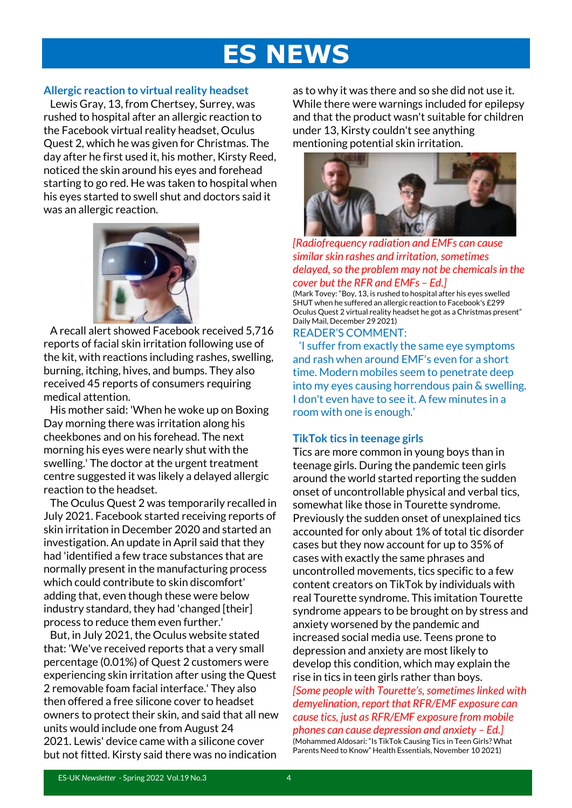## **ES NEWS**

#### **Allergic reaction to virtual reality headset**

 Lewis Gray, 13, from Chertsey, Surrey, was rushed to hospital after an allergic reaction to the Facebook virtual reality headset, Oculus Quest 2, which he was given for Christmas. The day after he first used it, his mother, Kirsty Reed, noticed the skin around his eyes and forehead starting to go red. He was taken to hospital when his eyes started to swell shut and doctors said it was an allergic reaction.



 A recall alert showed Facebook received 5,716 reports of facial skin irritation following use of the kit, with reactions including rashes, swelling, burning, itching, hives, and bumps. They also received 45 reports of consumers requiring medical attention.

 His mother said: 'When he woke up on Boxing Day morning there was irritation along his cheekbones and on his forehead. The next morning his eyes were nearly shut with the swelling.' The doctor at the urgent treatment centre suggested it was likely a delayed allergic reaction to the headset.

 The Oculus Quest 2 was temporarily recalled in July 2021. Facebook started receiving reports of skin irritation in December 2020 and started an investigation. An update in April said that they had 'identified a few trace substances that are normally present in the manufacturing process which could contribute to skin discomfort' adding that, even though these were below industry standard, they had 'changed [their] process to reduce them even further.'

 But, in July 2021, the Oculus website stated that: 'We've received reports that a very small percentage (0.01%) of Quest 2 customers were experiencing skin irritation after using the Quest 2 removable foam facial interface.' They also then offered a free silicone cover to headset owners to protect their skin, and said that all new units would include one from August 24 2021. Lewis' device came with a silicone cover but not fitted. Kirsty said there was no indication

as to why it was there and so she did not use it. While there were warnings included for epilepsy and that the product wasn't suitable for children under 13, Kirsty couldn't see anything mentioning potential skin irritation.



*[Radiofrequency radiation and EMFs can cause similar skin rashes and irritation, sometimes delayed, so the problem may not be chemicals in the cover but the RFR and EMFs – Ed.]*

(Mark Tovey: "Boy, 13, is rushed to hospital after his eyes swelled SHUT when he suffered an allergic reaction to Facebook's £299 Oculus Quest 2 virtual reality headset he got as a Christmas present" Daily Mail, December 29 2021)

READER'S COMMENT:

 'I suffer from exactly the same eye symptoms and rash when around EMF's even for a short time. Modern mobiles seem to penetrate deep into my eyes causing horrendous pain & swelling. I don't even have to see it. A few minutes in a room with one is enough.'

#### **TikTok tics in teenage girls**

Tics are more common in young boys than in teenage girls. During the pandemic teen girls around the world started reporting the sudden onset of uncontrollable physical and verbal tics, somewhat like those in Tourette syndrome. Previously the sudden onset of unexplained tics accounted for only about 1% of total tic disorder cases but they now account for up to 35% of cases with exactly the same phrases and uncontrolled movements, tics specific to a few content creators on TikTok by individuals with real Tourette syndrome. This imitation Tourette syndrome appears to be brought on by stress and anxiety worsened by the pandemic and increased social media use. Teens prone to depression and anxiety are most likely to develop this condition, which may explain the rise in tics in teen girls rather than boys. *[Some people with Tourette's, sometimes linked with demyelination, report that RFR/EMF exposure can cause tics, just as RFR/EMF exposure from mobile phones can cause depression and anxiety – Ed.]* (Mohammed Aldosari: "Is TikTok Causing Tics in Teen Girls? What Parents Need to Know" Health Essentials, November 10 2021)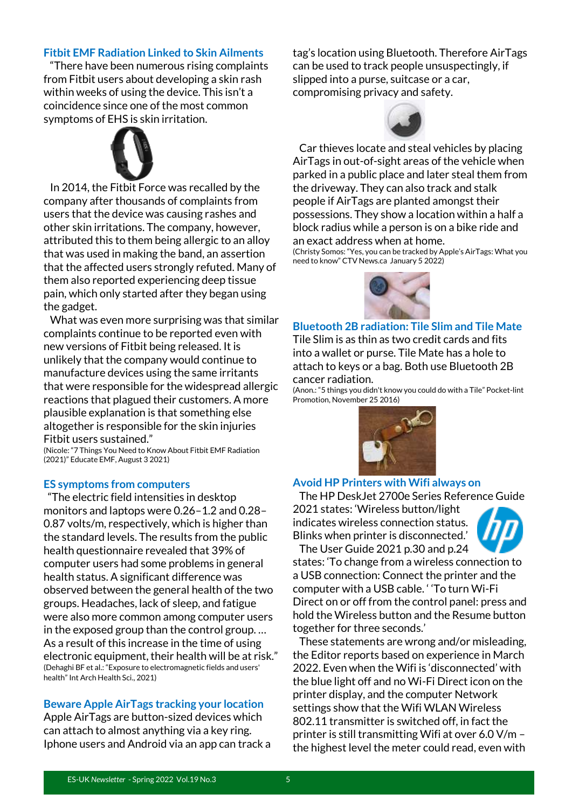#### **Fitbit EMF Radiation Linked to Skin Ailments**

 "There have been numerous rising complaints from Fitbit users about developing a skin rash within weeks of using the device. This isn't a coincidence since one of the most common symptoms of EHS is skin irritation.



 In 2014, the Fitbit Force was recalled by the company after thousands of complaints from users that the device was causing rashes and other skin irritations. The company, however, attributed this to them being allergic to an alloy that was used in making the band, an assertion that the affected users strongly refuted. Many of them also reported experiencing deep tissue pain, which only started after they began using the gadget.

 What was even more surprising was that similar complaints continue to be reported even with new versions of Fitbit being released. It is unlikely that the company would continue to manufacture devices using the same irritants that were responsible for the widespread allergic reactions that plagued their customers. A more plausible explanation is that something else altogether is responsible for the skin injuries Fitbit users sustained."

(Nicole: "7 Things You Need to Know About Fitbit EMF Radiation (2021)" Educate EMF, August 3 2021)

#### **ES symptoms from computers**

 "The electric field intensities in desktop monitors and laptops were 0.26–1.2 and 0.28– 0.87 volts/m, respectively, which is higher than the standard levels. The results from the public health questionnaire revealed that 39% of computer users had some problems in general health status. A significant difference was observed between the general health of the two groups. Headaches, lack of sleep, and fatigue were also more common among computer users in the exposed group than the control group. … As a result of this increase in the time of using electronic equipment, their health will be at risk." (Dehaghi BF et al.: "Exposure to electromagnetic fields and users' health" Int Arch Health Sci., 2021)

#### **Beware Apple AirTags tracking your location**

Apple AirTags are button-sized devices which can attach to almost anything via a key ring. Iphone users and Android via an app can track a

tag's location using Bluetooth. Therefore AirTags can be used to track people unsuspectingly, if slipped into a purse, suitcase or a car, compromising privacy and safety.



 Car thieves locate and steal vehicles by placing AirTags in out-of-sight areas of the vehicle when parked in a public place and later steal them from the driveway. They can also track and stalk people if AirTags are planted amongst their possessions. They show a location within a half a block radius while a person is on a bike ride and an exact address when at home.

(Christy Somos: "Yes, you can be tracked by Apple's AirTags: What you need to know" CTV News.ca January 5 2022)



**Bluetooth 2B radiation: Tile Slim and Tile Mate** Tile Slim is as thin as two credit cards and fits into a wallet or purse. Tile Mate has a hole to attach to keys or a bag. Both use Bluetooth 2B cancer radiation.

(Anon.: "5 things you didn't know you could do with a Tile" Pocket-lint Promotion, November 25 2016)



#### **Avoid HP Printers with Wifi always on**

 The HP DeskJet 2700e Series Reference Guide 2021 states: 'Wireless button/light indicates wireless connection status. Blinks when printer is disconnected.'

 The User Guide 2021 p.30 and p.24 states: 'To change from a wireless connection to a USB connection: Connect the printer and the computer with a USB cable. ' 'To turn Wi-Fi Direct on or off from the control panel: press and hold the Wireless button and the Resume button together for three seconds.'

 These statements are wrong and/or misleading, the Editor reports based on experience in March 2022. Even when the Wifi is 'disconnected' with the blue light off and no Wi-Fi Direct icon on the printer display, and the computer Network settings show that the Wifi WLAN Wireless 802.11 transmitter is switched off, in fact the printer is still transmitting Wifi at over 6.0 V/m – the highest level the meter could read, even with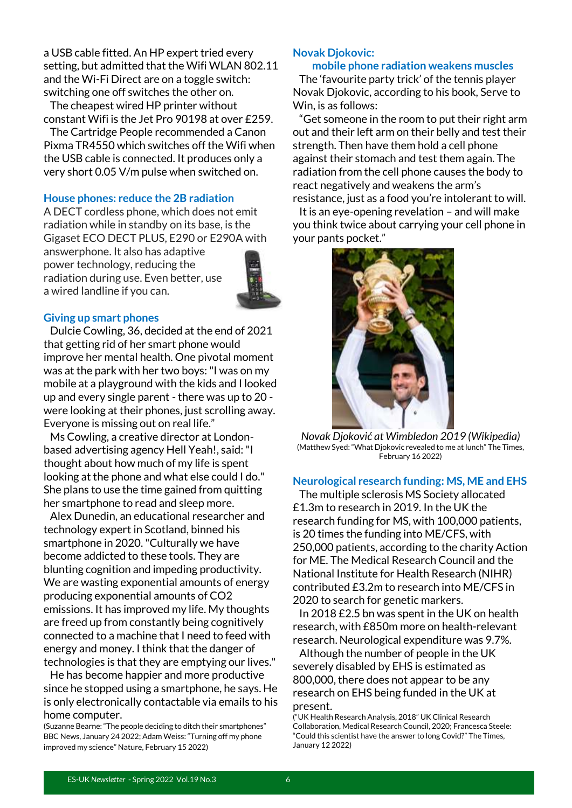a USB cable fitted. An HP expert tried every setting, but admitted that the Wifi WLAN 802.11 and the Wi-Fi Direct are on a toggle switch: switching one off switches the other on.

 The cheapest wired HP printer without constant Wifi is the Jet Pro 90198 at over £259.

 The Cartridge People recommended a Canon Pixma TR4550 which switches off the Wifi when the USB cable is connected. It produces only a very short 0.05 V/m pulse when switched on.

#### **House phones: reduce the 2B radiation**

A DECT cordless phone, which does not emit radiation while in standby on its base, is the Gigaset ECO DECT PLUS, E290 or E290A with

answerphone. It also has adaptive power technology, reducing the radiation during use. Even better, use a wired landline if you can.



#### **Giving up smart phones**

 Dulcie Cowling, 36, decided at the end of 2021 that getting rid of her smart phone would improve her mental health. One pivotal moment was at the park with her two boys: "I was on my mobile at a playground with the kids and I looked up and every single parent - there was up to 20 were looking at their phones, just scrolling away. Everyone is missing out on real life."

 Ms Cowling, a creative director at Londonbased advertising agency Hell Yeah!, said: "I thought about how much of my life is spent looking at the phone and what else could I do." She plans to use the time gained from quitting her smartphone to read and sleep more.

 Alex Dunedin, an educational researcher and technology expert in Scotland, binned his smartphone in 2020. "Culturally we have become addicted to these tools. They are blunting cognition and impeding productivity. We are wasting exponential amounts of energy producing exponential amounts of CO2 emissions. It has improved my life. My thoughts are freed up from constantly being cognitively connected to a machine that I need to feed with energy and money. I think that the danger of technologies is that they are emptying our lives."

 He has become happier and more productive since he stopped using a smartphone, he says. He is only electronically contactable via emails to his home computer.

(Suzanne Bearne: "The people deciding to ditch their smartphones" BBC News, January 24 2022; Adam Weiss: "Turning off my phone improved my science" Nature, February 15 2022)

#### **Novak Djokovic:**

#### **mobile phone radiation weakens muscles**

 The 'favourite party trick' of the tennis player Novak Djokovic, according to his book, Serve to Win, is as follows:

 "Get someone in the room to put their right arm out and their left arm on their belly and test their strength. Then have them hold a cell phone against their stomach and test them again. The radiation from the cell phone causes the body to react negatively and weakens the arm's resistance, just as a food you're intolerant to will.

 It is an eye-opening revelation – and will make you think twice about carrying your cell phone in your pants pocket."



*Novak Djoković at Wimbledon 2019 (Wikipedia)* (Matthew Syed: "What Djokovic revealed to me at lunch" The Times, February 16 2022)

#### **Neurological research funding: MS, ME and EHS**

 The multiple sclerosis MS Society allocated £1.3m to research in 2019. In the UK the research funding for MS, with 100,000 patients, is 20 times the funding into ME/CFS, with 250,000 patients, according to the charity Action for ME. The Medical Research Council and the National Institute for Health Research (NIHR) contributed £3.2m to research into ME/CFS in 2020 to search for genetic markers.

 In 2018 £2.5 bn was spent in the UK on health research, with £850m more on health-relevant research. Neurological expenditure was 9.7%.

 Although the number of people in the UK severely disabled by EHS is estimated as 800,000, there does not appear to be any research on EHS being funded in the UK at present.

<sup>(&</sup>quot;UK Health Research Analysis, 2018" UK Clinical Research Collaboration, Medical Research Council, 2020; Francesca Steele: "Could this scientist have the answer to long Covid?" The Times, January 12 2022)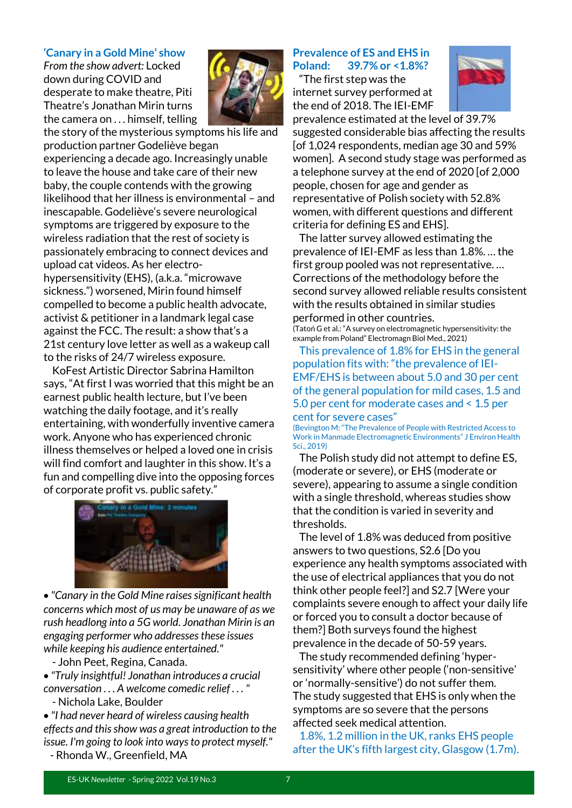#### **'Canary in a Gold Mine' show**

*From the show advert:* Locked down during COVID and desperate to make theatre, Piti Theatre's Jonathan Mirin turns the camera on . . . himself, telling the story of the mysterious symptoms his life and



production partner Godeliève began experiencing a decade ago. Increasingly unable to leave the house and take care of their new baby, the couple contends with the growing likelihood that her illness is environmental – and inescapable. Godeliève's severe neurological symptoms are triggered by exposure to the wireless radiation that the rest of society is passionately embracing to connect devices and upload cat videos. As her electrohypersensitivity (EHS), (a.k.a. "microwave sickness.") worsened, Mirin found himself compelled to become a public health advocate, activist & petitioner in a landmark legal case against the FCC. The result: a show that's a 21st century love letter as well as a wakeup call to the risks of 24/7 wireless exposure.

 KoFest Artistic Director Sabrina Hamilton says, "At first I was worried that this might be an earnest public health lecture, but I've been watching the daily footage, and it's really entertaining, with wonderfully inventive camera work. Anyone who has experienced chronic illness themselves or helped a loved one in crisis will find comfort and laughter in this show. It's a fun and compelling dive into the opposing forces of corporate profit vs. public safety."



• *"Canary in the Gold Mine raises significant health concerns which most of us may be unaware of as we rush headlong into a 5G world. Jonathan Mirin is an engaging performer who addresses these issues while keeping his audience entertained."*

- John Peet, Regina, Canada.

• *"Truly insightful! Jonathan introduces a crucial conversation . . . A welcome comedic relief . . . "*

- Nichola Lake, Boulder

• *"I had never heard of wireless causing health effects and this show was a great introduction to the issue. I'm going to look into ways to protect myself."* - Rhonda W., Greenfield, MA

#### **Prevalence of ES and EHS in Poland: 39.7% or <1.8%?**

 "The first step was the internet survey performed at the end of 2018. The IEI-EMF



prevalence estimated at the level of 39.7% suggested considerable bias affecting the results [of 1,024 respondents, median age 30 and 59% women]. A second study stage was performed as a telephone survey at the end of 2020 [of 2,000 people, chosen for age and gender as representative of Polish society with 52.8% women, with different questions and different criteria for defining ES and EHS].

 The latter survey allowed estimating the prevalence of IEI-EMF as less than 1.8%. … the first group pooled was not representative. … Corrections of the methodology before the second survey allowed reliable results consistent with the results obtained in similar studies performed in other countries.

(Tatoń G et al.: "A survey on electromagnetic hypersensitivity: the example from Poland" Electromagn Biol Med., 2021)

 This prevalence of 1.8% for EHS in the general population fits with: "the prevalence of IEI-EMF/EHS is between about 5.0 and 30 per cent of the general population for mild cases, 1.5 and 5.0 per cent for moderate cases and < 1.5 per cent for severe cases"

(Bevington M: "The Prevalence of People with Restricted Access to Work in Manmade Electromagnetic Environments" J Environ Health Sci., 2019)

 The Polish study did not attempt to define ES, (moderate or severe), or EHS (moderate or severe), appearing to assume a single condition with a single threshold, whereas studies show that the condition is varied in severity and thresholds.

 The level of 1.8% was deduced from positive answers to two questions, S2.6 [Do you experience any health symptoms associated with the use of electrical appliances that you do not think other people feel?] and S2.7 [Were your complaints severe enough to affect your daily life or forced you to consult a doctor because of them?] Both surveys found the highest prevalence in the decade of 50-59 years.

 The study recommended defining 'hypersensitivity' where other people ('non-sensitive' or 'normally-sensitive') do not suffer them. The study suggested that EHS is only when the symptoms are so severe that the persons affected seek medical attention.

 1.8%, 1.2 million in the UK, ranks EHS people after the UK's fifth largest city, Glasgow (1.7m).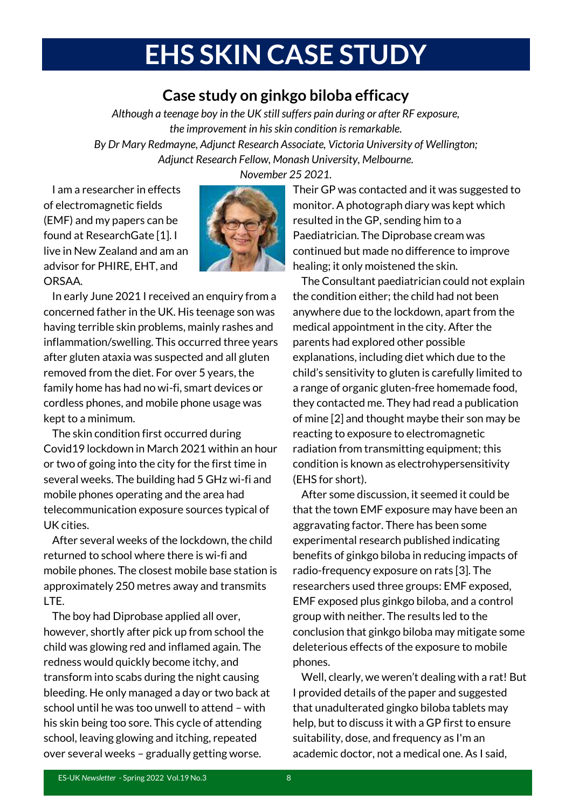## **EHS SKIN CASE STUDY**

### **Case study on ginkgo biloba efficacy**

*Although a teenage boy in the UK still suffers pain during or after RF exposure, the improvement in his skin condition is remarkable. By Dr Mary Redmayne, Adjunct Research Associate, Victoria University of Wellington; Adjunct Research Fellow, Monash University, Melbourne.* 

 I am a researcher in effects of electromagnetic fields (EMF) and my papers can be found at ResearchGate [1]. I live in New Zealand and am an advisor for PHIRE, EHT, and ORSAA.



 In early June 2021 I received an enquiry from a concerned father in the UK. His teenage son was having terrible skin problems, mainly rashes and inflammation/swelling. This occurred three years after gluten ataxia was suspected and all gluten removed from the diet. For over 5 years, the family home has had no wi-fi, smart devices or cordless phones, and mobile phone usage was kept to a minimum.

 The skin condition first occurred during Covid19 lockdown in March 2021 within an hour or two of going into the city for the first time in several weeks. The building had 5 GHz wi-fi and mobile phones operating and the area had telecommunication exposure sources typical of UK cities.

 After several weeks of the lockdown, the child returned to school where there is wi-fi and mobile phones. The closest mobile base station is approximately 250 metres away and transmits LTE.

 The boy had Diprobase applied all over, however, shortly after pick up from school the child was glowing red and inflamed again. The redness would quickly become itchy, and transform into scabs during the night causing bleeding. He only managed a day or two back at school until he was too unwell to attend – with his skin being too sore. This cycle of attending school, leaving glowing and itching, repeated over several weeks – gradually getting worse.

*November 25 2021.*

Their GP was contacted and it was suggested to monitor. A photograph diary was kept which resulted in the GP, sending him to a Paediatrician. The Diprobase cream was continued but made no difference to improve healing; it only moistened the skin.

 The Consultant paediatrician could not explain the condition either; the child had not been anywhere due to the lockdown, apart from the medical appointment in the city. After the parents had explored other possible explanations, including diet which due to the child's sensitivity to gluten is carefully limited to a range of organic gluten-free homemade food, they contacted me. They had read a publication of mine [2] and thought maybe their son may be reacting to exposure to electromagnetic radiation from transmitting equipment; this condition is known as electrohypersensitivity (EHS for short).

 After some discussion, it seemed it could be that the town EMF exposure may have been an aggravating factor. There has been some experimental research published indicating benefits of ginkgo biloba in reducing impacts of radio-frequency exposure on rats [3]. The researchers used three groups: EMF exposed, EMF exposed plus ginkgo biloba, and a control group with neither. The results led to the conclusion that ginkgo biloba may mitigate some deleterious effects of the exposure to mobile phones.

 Well, clearly, we weren't dealing with a rat! But I provided details of the paper and suggested that unadulterated gingko biloba tablets may help, but to discuss it with a GP first to ensure suitability, dose, and frequency as I'm an academic doctor, not a medical one. As I said,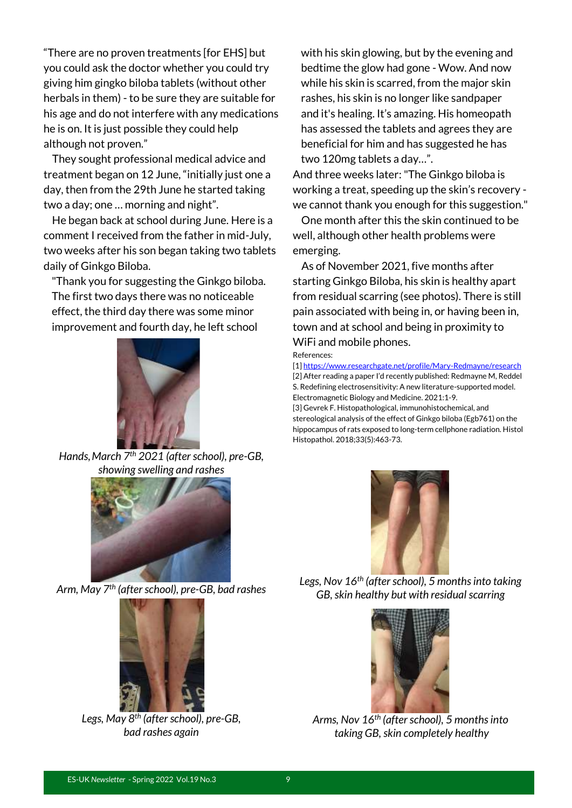"There are no proven treatments [for EHS] but you could ask the doctor whether you could try giving him gingko biloba tablets (without other herbals in them) - to be sure they are suitable for his age and do not interfere with any medications he is on. It is just possible they could help although not proven."

 They sought professional medical advice and treatment began on 12 June, "initially just one a day, then from the 29th June he started taking two a day; one … morning and night".

 He began back at school during June. Here is a comment I received from the father in mid-July, two weeks after his son began taking two tablets daily of Ginkgo Biloba.

"Thank you for suggesting the Ginkgo biloba. The first two days there was no noticeable effect, the third day there was some minor improvement and fourth day, he left school



*Hands,March 7th 2021 (after school), pre-GB, showing swelling and rashes*



*Arm, May 7th (after school), pre-GB, bad rashes*



*Legs, May 8th (after school), pre-GB, bad rashes again*

with his skin glowing, but by the evening and bedtime the glow had gone - Wow. And now while his skin is scarred, from the major skin rashes, his skin is no longer like sandpaper and it's healing. It's amazing. His homeopath has assessed the tablets and agrees they are beneficial for him and has suggested he has two 120mg tablets a day…".

And three weeks later:"The Ginkgo biloba is working a treat, speeding up the skin's recovery we cannot thank you enough for this suggestion."

 One month after this the skin continued to be well, although other health problems were emerging.

 As of November 2021, five months after starting Ginkgo Biloba, his skin is healthy apart from residual scarring (see photos). There is still pain associated with being in, or having been in, town and at school and being in proximity to WiFi and mobile phones.

References:

[1[\] https://www.researchgate.net/profile/Mary-Redmayne/research](https://www.researchgate.net/profile/Mary-Redmayne/research) [2] After reading a paper I'd recently published: Redmayne M, Reddel S. Redefining electrosensitivity: A new literature-supported model. Electromagnetic Biology and Medicine. 2021:1-9. [3] Gevrek F. Histopathological, immunohistochemical, and

stereological analysis of the effect of Ginkgo biloba (Egb761) on the hippocampus of rats exposed to long-term cellphone radiation. Histol Histopathol. 2018;33(5):463-73.



*Legs, Nov 16th (after school), 5 months into taking GB,skin healthy but with residual scarring*



*Arms, Nov 16th (after school), 5 months into taking GB,skin completely healthy*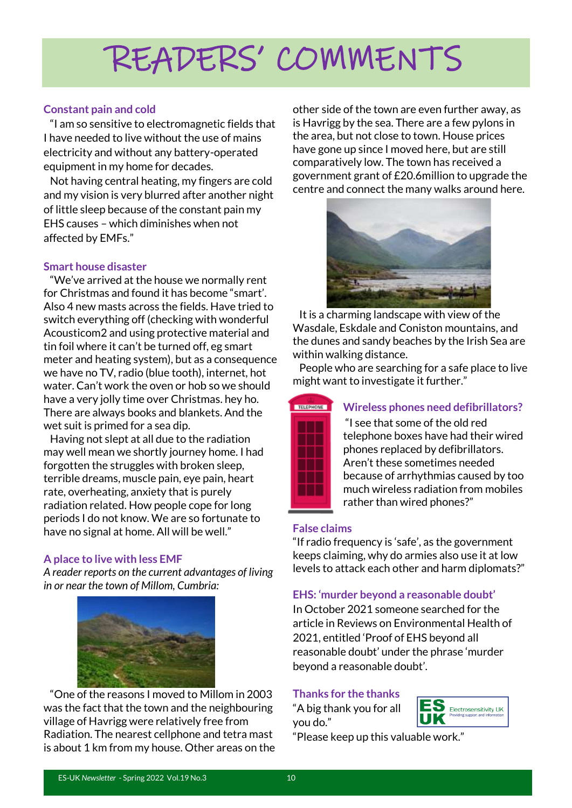## READERS' COMMENTS

#### **Constant pain and cold**

 "I am so sensitive to electromagnetic fields that I have needed to live without the use of mains electricity and without any battery-operated equipment in my home for decades.

 Not having central heating, my fingers are cold and my vision is very blurred after another night of little sleep because of the constant pain my EHS causes – which diminishes when not affected by EMFs."

#### **Smart house disaster**

 "We've arrived at the house we normally rent for Christmas and found it has become "smart'. Also 4 new masts across the fields. Have tried to switch everything off (checking with wonderful Acousticom2 and using protective material and tin foil where it can't be turned off, eg smart meter and heating system), but as a consequence we have no TV, radio (blue tooth), internet, hot water. Can't work the oven or hob so we should have a very jolly time over Christmas. hey ho. There are always books and blankets. And the wet suit is primed for a sea dip.

 Having not slept at all due to the radiation may well mean we shortly journey home. I had forgotten the struggles with broken sleep, terrible dreams, muscle pain, eye pain, heart rate, overheating, anxiety that is purely radiation related. How people cope for long periods I do not know. We are so fortunate to have no signal at home. All will be well."

#### **A place to live with less EMF**

*A reader reports on the current advantages of living in or near the town of Millom, Cumbria:* 



 "One of the reasons I moved to Millom in 2003 was the fact that the town and the neighbouring village of Havrigg were relatively free from Radiation. The nearest cellphone and tetra mast is about 1 km from my house. Other areas on the other side of the town are even further away, as is Havrigg by the sea. There are a few pylons in the area, but not close to town. House prices have gone up since I moved here, but are still comparatively low. The town has received a government grant of £20.6million to upgrade the centre and connect the many walks around here.



 It is a charming landscape with view of the Wasdale, Eskdale and Coniston mountains, and the dunes and sandy beaches by the Irish Sea are within walking distance.

 People who are searching for a safe place to live might want to investigate it further."



#### **Wireless phones need defibrillators?**

"I see that some of the old red telephone boxes have had their wired phones replaced by defibrillators. Aren't these sometimes needed because of arrhythmias caused by too much wireless radiation from mobiles rather than wired phones?"

#### **False claims**

"If radio frequency is 'safe', as the government keeps claiming, why do armies also use it at low levels to attack each other and harm diplomats?"

#### **EHS: 'murder beyond a reasonable doubt'**

In October 2021 someone searched for the article in Reviews on Environmental Health of 2021, entitled 'Proof of EHS beyond all reasonable doubt' under the phrase 'murder beyond a reasonable doubt'.

#### **Thanks for the thanks**

"A big thank you for all you do."



"Please keep up this valuable work."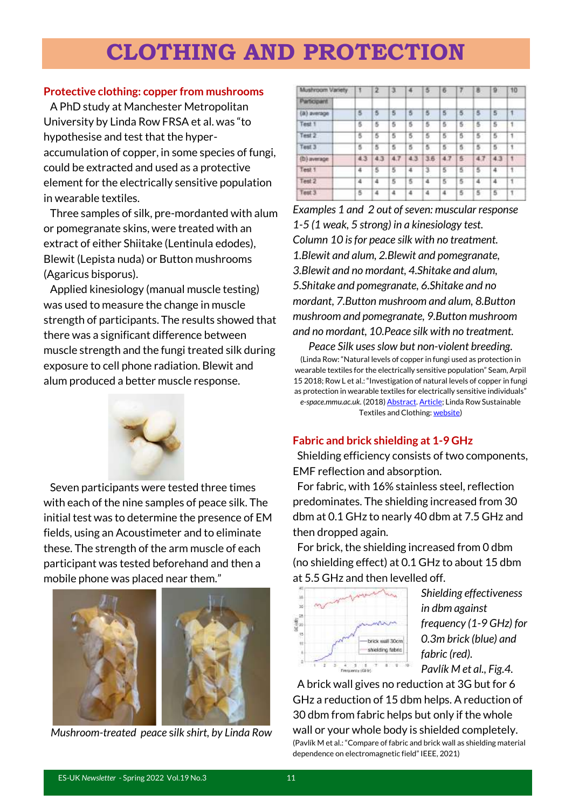## **CLOTHING AND PROTECTION**

#### **Protective clothing: copper from mushrooms**

 A PhD study at Manchester Metropolitan University by Linda Row FRSA et al. was "to hypothesise and test that the hyperaccumulation of copper, in some species of fungi, could be extracted and used as a protective element for the electrically sensitive population in wearable textiles.

 Three samples of silk, pre-mordanted with alum or pomegranate skins, were treated with an extract of either Shiitake (Lentinula edodes), Blewit (Lepista nuda) or Button mushrooms (Agaricus bisporus).

 Applied kinesiology (manual muscle testing) was used to measure the change in muscle strength of participants. The results showed that there was a significant difference between muscle strength and the fungi treated silk during exposure to cell phone radiation. Blewit and alum produced a better muscle response.



 Seven participants were tested three times with each of the nine samples of peace silk. The initial test was to determine the presence of EM fields, using an Acoustimeter and to eliminate these. The strength of the arm muscle of each participant was tested beforehand and then a mobile phone was placed near them."



*Mushroom-treated peace* s*ilk shirt, by Linda Row*

| Mushroom Variety | ٦   | $\overline{2}$ | з   | 4   | 5              | 6   | 7              | я              | I۵             | 10           |
|------------------|-----|----------------|-----|-----|----------------|-----|----------------|----------------|----------------|--------------|
| Participant      |     |                |     |     |                |     |                |                |                |              |
| (a) average      | 5   | 5              | 5   | 5   | $\overline{5}$ | 6   | 5              | $\overline{5}$ | $\overline{5}$ | Ŧ            |
| Test 1           | 5   | 5              | 5   | 5   | 5              | 5   | 5              | 5              | 5              | $\mathbf{1}$ |
| Test 2           | ß   | 5              | 5   | 5   | 5              | 5   | 5              | 5              | 5              | $\mathbf{1}$ |
| Test 3           | 5   | 5              | 5   | 5   | 5              | 5   | $\overline{5}$ | 5              | 5              | 1            |
| (b) average      | 4.3 | 4.3            | 4.7 | 4.3 | 3.6            | 4.7 | 5              | 4.7            | 4.3            | $\mathbf{1}$ |
| Test 1           | 4   | s              | 5   | 4   | з              | 5   | 5.             | -51            | 4              | 1.           |
| Test 2           | 4   | 4              | 5   | 5   | 4              | 5   | 5              | 4              | 4              | $\mathbf{1}$ |
| Test 3           | 5   | 4              | 4   | A   | A              | 4   | 5              | 5              | 5              | Ť.           |

*Examples 1 and 2 out of seven: muscular response 1-5 (1 weak, 5 strong) in a kinesiology test. Column 10 is for peace silk with no treatment. 1.Blewit and alum, 2.Blewit and pomegranate, 3.Blewit and no mordant, 4.Shitake and alum, 5.Shitake and pomegranate, 6.Shitake and no mordant, 7.Button mushroom and alum, 8.Button mushroom and pomegranate, 9.Button mushroom and no mordant, 10.Peace silk with no treatment.*

*Peace Silk uses slow but non-violent breeding.* (Linda Row: "Natural levels of copper in fungi used as protection in wearable textiles for the electrically sensitive population" Seam, Arpil 15 2018; Row L et al.: "Investigation of natural levels of copper in fungi as protection in wearable textiles for electrically sensitive individuals" *e-space.mmu.ac.uk.* (2018[\) Abstract. Article;](https://e-space.mmu.ac.uk/621526/1/Linda%20Row-Submission%20to%20Textiles%20Cloth%20and%20Culture%2028-09-18docx.pdf) Linda Row Sustainable Textiles and Clothing[: website\)](https://www.lindarow.com/)

#### **Fabric and brick shielding at 1-9 GHz**

 Shielding efficiency consists of two components, EMF reflection and absorption.

 For fabric, with 16% stainless steel, reflection predominates. The shielding increased from 30 dbm at 0.1 GHz to nearly 40 dbm at 7.5 GHz and then dropped again.

 For brick, the shielding increased from 0 dbm (no shielding effect) at 0.1 GHz to about 15 dbm at 5.5 GHz and then levelled off.



*Shielding effectiveness in dbm against frequency (1-9 GHz) for 0.3m brick (blue) and fabric (red). Pavlík M et al., Fig.4.*

 A brick wall gives no reduction at 3G but for 6 GHz a reduction of 15 dbm helps. A reduction of 30 dbm from fabric helps but only if the whole wall or your whole body is shielded completely. (Pavlík M et al.: "Compare of fabric and brick wall as shielding material dependence on electromagnetic field" IEEE, 2021)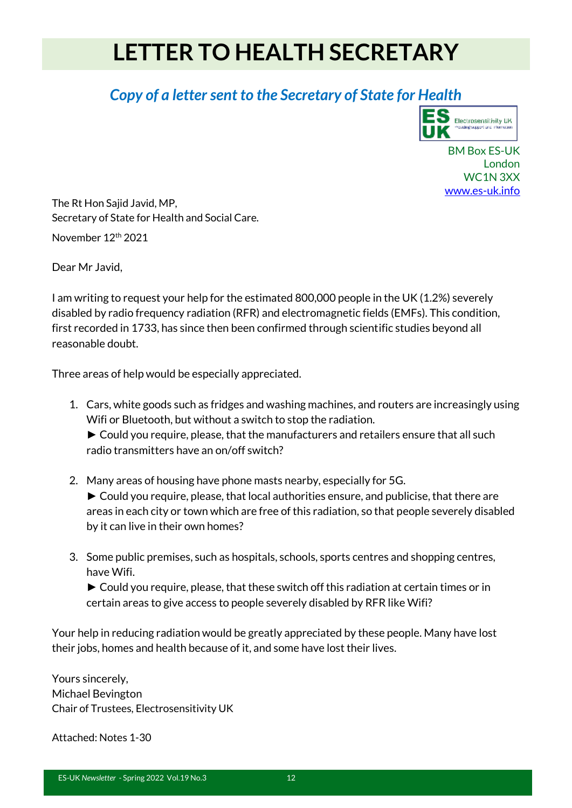## **LETTER TO HEALTH SECRETARY**

### *Copy of a letter sent to the Secretary of State for Health*



BM Box ES-UK London WC1N 3XX [www.es-uk.info](http://www.es-uk.info/)

The Rt Hon Sajid Javid, MP, Secretary of State for Health and Social Care.

November 12th 2021

Dear Mr Javid,

I am writing to request your help for the estimated 800,000 people in the UK (1.2%) severely disabled by radio frequency radiation (RFR) and electromagnetic fields (EMFs). This condition, first recorded in 1733, has since then been confirmed through scientific studies beyond all reasonable doubt.

Three areas of help would be especially appreciated.

- 1. Cars, white goods such as fridges and washing machines, and routers are increasingly using Wifi or Bluetooth, but without a switch to stop the radiation. ► Could you require, please, that the manufacturers and retailers ensure that all such radio transmitters have an on/off switch?
- 2. Many areas of housing have phone masts nearby, especially for 5G. ► Could you require, please, that local authorities ensure, and publicise, that there are areas in each city or town which are free of this radiation, so that people severely disabled by it can live in their own homes?
- 3. Some public premises, such as hospitals, schools, sports centres and shopping centres, have Wifi.

► Could you require, please, that these switch off this radiation at certain times or in certain areas to give access to people severely disabled by RFR like Wifi?

Your help in reducing radiation would be greatly appreciated by these people. Many have lost their jobs, homes and health because of it, and some have lost their lives.

Yours sincerely, Michael Bevington Chair of Trustees, Electrosensitivity UK

Attached: Notes 1-30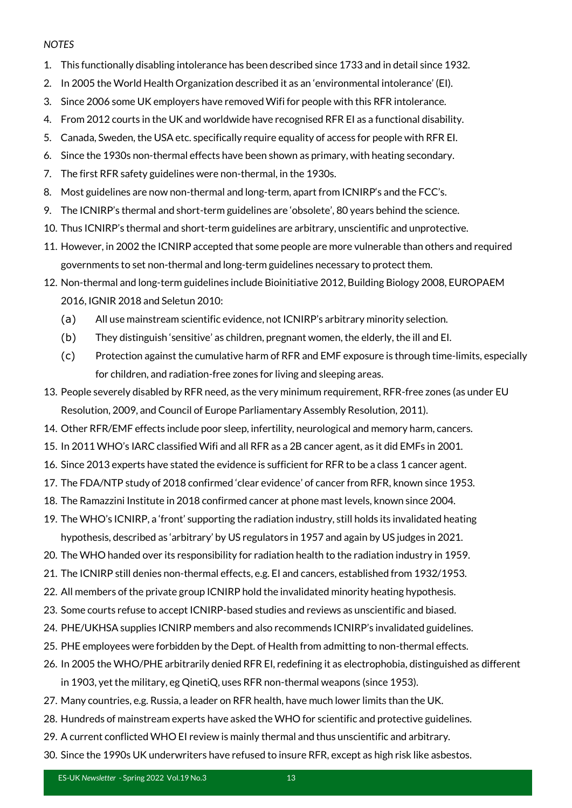#### *NOTES*

- 1. This functionally disabling intolerance has been described since 1733 and in detail since 1932.
- 2. In 2005 the World Health Organization described it as an 'environmental intolerance' (EI).
- 3. Since 2006 some UK employers have removed Wifi for people with this RFR intolerance.
- 4. From 2012 courts in the UK and worldwide have recognised RFR EI as a functional disability.
- 5. Canada, Sweden, the USA etc. specifically require equality of access for people with RFR EI.
- 6. Since the 1930s non-thermal effects have been shown as primary, with heating secondary.
- 7. The first RFR safety guidelines were non-thermal, in the 1930s.
- 8. Most guidelines are now non-thermal and long-term, apart from ICNIRP's and the FCC's.
- 9. The ICNIRP's thermal and short-term guidelines are 'obsolete', 80 years behind the science.
- 10. Thus ICNIRP's thermal and short-term guidelines are arbitrary, unscientific and unprotective.
- 11. However, in 2002 the ICNIRP accepted that some people are more vulnerable than others and required governments to set non-thermal and long-term guidelines necessary to protect them.
- 12. Non-thermal and long-term guidelines include Bioinitiative 2012, Building Biology 2008, EUROPAEM 2016, IGNIR 2018 and Seletun 2010:
	- (a) All use mainstream scientific evidence, not ICNIRP's arbitrary minority selection.
	- (b) They distinguish 'sensitive' as children, pregnant women, the elderly, the ill and EI.
	- (c) Protection against the cumulative harm of RFR and EMF exposure is through time-limits, especially for children, and radiation-free zones for living and sleeping areas.
- 13. People severely disabled by RFR need, as the very minimum requirement, RFR-free zones (as under EU Resolution, 2009, and Council of Europe Parliamentary Assembly Resolution, 2011).
- 14. Other RFR/EMF effects include poor sleep, infertility, neurological and memory harm, cancers.
- 15. In 2011 WHO's IARC classified Wifi and all RFR as a 2B cancer agent, as it did EMFs in 2001.
- 16. Since 2013 experts have stated the evidence is sufficient for RFR to be a class 1 cancer agent.
- 17. The FDA/NTP study of 2018 confirmed 'clear evidence' of cancer from RFR, known since 1953.
- 18. The Ramazzini Institute in 2018 confirmed cancer at phone mast levels, known since 2004.
- 19. The WHO's ICNIRP, a 'front' supporting the radiation industry, still holds its invalidated heating hypothesis, described as 'arbitrary' by US regulators in 1957 and again by US judges in 2021.
- 20. The WHO handed over its responsibility for radiation health to the radiation industry in 1959.
- 21. The ICNIRP still denies non-thermal effects, e.g. EI and cancers, established from 1932/1953.
- 22. All members of the private group ICNIRP hold the invalidated minority heating hypothesis.
- 23. Some courts refuse to accept ICNIRP-based studies and reviews as unscientific and biased.
- 24. PHE/UKHSA supplies ICNIRP members and also recommends ICNIRP's invalidated guidelines.
- 25. PHE employees were forbidden by the Dept. of Health from admitting to non-thermal effects.
- 26. In 2005 the WHO/PHE arbitrarily denied RFR EI, redefining it as electrophobia, distinguished as different in 1903, yet the military, eg QinetiQ, uses RFR non-thermal weapons (since 1953).
- 27. Many countries, e.g. Russia, a leader on RFR health, have much lower limits than the UK.
- 28. Hundreds of mainstream experts have asked the WHO for scientific and protective guidelines.
- 29. A current conflicted WHO EI review is mainly thermal and thus unscientific and arbitrary.
- 30. Since the 1990s UK underwriters have refused to insure RFR, except as high risk like asbestos.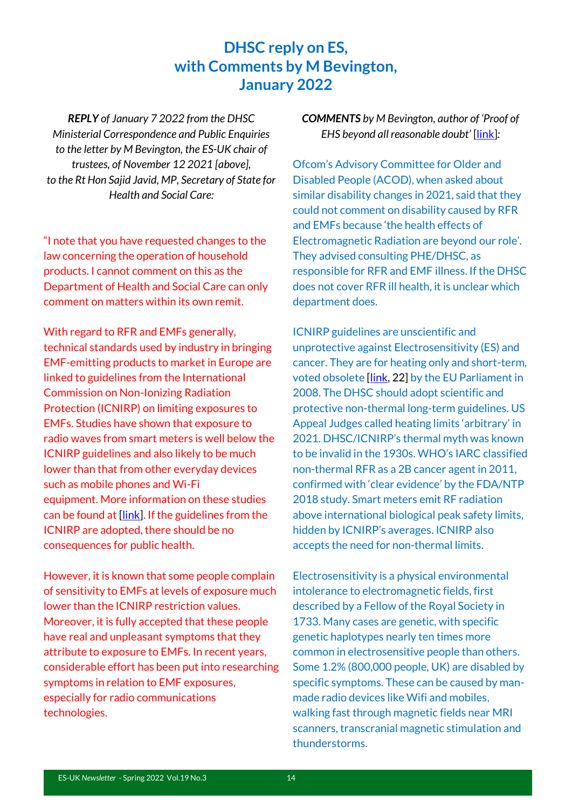#### **DHSC reply on ES, with Comments by M Bevington, January 2022**

*REPLY of January 7 2022 from the DHSC Ministerial Correspondence and Public Enquiries to the letter by M Bevington, the ES-UK chair of trustees, of November 12 2021 [above], to the Rt Hon Sajid Javid, MP, Secretary of State for Health and Social Care:*

"I note that you have requested changes to the law concerning the operation of household products. I cannot comment on this as the Department of Health and Social Care can only comment on matters within its own remit.

With regard to RFR and EMFs generally, technical standards used by industry in bringing EMF-emitting products to market in Europe are linked to guidelines from the International Commission on Non-Ionizing Radiation Protection (ICNIRP) on limiting exposures to EMFs. Studies have shown that exposure to radio waves from smart meters is well below the ICNIRP guidelines and also likely to be much lower than that from other everyday devices such as mobile phones and Wi-Fi equipment. More information on these studies can be found at [\[link\]](http://www.gov.uk/government/publications/smart-meters-radio-waves-and-health/smart-meters-radio-waves-and-health). If the guidelines from the ICNIRP are adopted, there should be no consequences for public health.

However, it is known that some people complain of sensitivity to EMFs at levels of exposure much lower than the ICNIRP restriction values. Moreover, it is fully accepted that these people have real and unpleasant symptoms that they attribute to exposure to EMFs. In recent years, considerable effort has been put into researching symptoms in relation to EMF exposures, especially for radio communications technologies.

#### *COMMENTS by M Bevington, author of 'Proof of EHS beyond all reasonable doubt'* [\[link\]](http://www.es-uk.info/wp-content/uploads/2021/12/Bevington-Proof-of-EHS-beyond-all-reasonable-doubt-REH-2021.pdf)*:*

Ofcom's Advisory Committee for Older and Disabled People (ACOD), when asked about similar disability changes in 2021, said that they could not comment on disability caused by RFR and EMFs because 'the health effects of Electromagnetic Radiation are beyond our role'. They advised consulting PHE/DHSC, as responsible for RFR and EMF illness. If the DHSC does not cover RFR ill health, it is unclear which department does.

ICNIRP guidelines are unscientific and unprotective against Electrosensitivity (ES) and cancer. They are for heating only and short-term, voted obsolete [\[link,](https://www.europarl.europa.eu/doceo/document/TA-6-2008-0410_EN.html?redirect) 22] by the EU Parliament in 2008. The DHSC should adopt scientific and protective non-thermal long-term guidelines. US Appeal Judges called heating limits 'arbitrary' in 2021. DHSC/ICNIRP's thermal myth was known to be invalid in the 1930s. WHO's IARC classified non-thermal RFR as a 2B cancer agent in 2011, confirmed with 'clear evidence' by the FDA/NTP 2018 study. Smart meters emit RF radiation above international biological peak safety limits, hidden by ICNIRP's averages. ICNIRP also accepts the need for non-thermal limits.

Electrosensitivity is a physical environmental intolerance to electromagnetic fields, first described by a Fellow of the Royal Society in 1733. Many cases are genetic, with specific genetic haplotypes nearly ten times more common in electrosensitive people than others. Some 1.2% (800,000 people, UK) are disabled by specific symptoms. These can be caused by manmade radio devices like Wifi and mobiles, walking fast through magnetic fields near MRI scanners, transcranial magnetic stimulation and thunderstorms.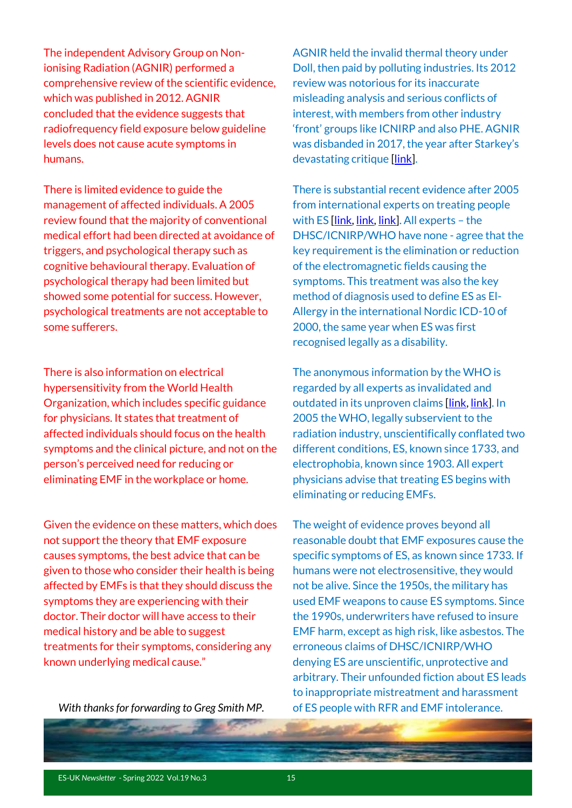The independent Advisory Group on Nonionising Radiation (AGNIR) performed a comprehensive review of the scientific evidence, which was published in 2012. AGNIR concluded that the evidence suggests that radiofrequency field exposure below guideline levels does not cause acute symptoms in humans.

There is limited evidence to guide the management of affected individuals. A 2005 review found that the majority of conventional medical effort had been directed at avoidance of triggers, and psychological therapy such as cognitive behavioural therapy. Evaluation of psychological therapy had been limited but showed some potential for success. However, psychological treatments are not acceptable to some sufferers.

There is also information on electrical hypersensitivity from the World Health Organization, which includes specific guidance for physicians. It states that treatment of affected individuals should focus on the health symptoms and the clinical picture, and not on the person's perceived need for reducing or eliminating EMF in the workplace or home.

Given the evidence on these matters, which does not support the theory that EMF exposure causes symptoms, the best advice that can be given to those who consider their health is being affected by EMFs is that they should discuss the symptoms they are experiencing with their doctor. Their doctor will have access to their medical history and be able to suggest treatments for their symptoms, considering any known underlying medical cause."

*With thanks for forwarding to Greg Smith MP.*

AGNIR held the invalid thermal theory under Doll, then paid by polluting industries. Its 2012 review was notorious for its inaccurate misleading analysis and serious conflicts of interest, with members from other industry 'front' groups like ICNIRP and also PHE. AGNIR was disbanded in 2017, the year after Starkey's devastating critique [\[link\]](https://www.degruyter.com/document/doi/10.1515/reveh-2016-0060/html).

There is substantial recent evidence after 2005 from international experts on treating people with ES *[\[link,](https://pubmed.ncbi.nlm.nih.gov/27454111/) [link,](https://pubmed.ncbi.nlm.nih.gov/32168876/) [link\]](https://pubmed.ncbi.nlm.nih.gov/26613327/)*. All experts - the DHSC/ICNIRP/WHO have none - agree that the key requirement is the elimination or reduction of the electromagnetic fields causing the symptoms. This treatment was also the key method of diagnosis used to define ES as El-Allergy in the international Nordic ICD-10 of 2000, the same year when ES was first recognised legally as a disability.

The anonymous information by the WHO is regarded by all experts as invalidated and outdated in its unproven claims [\[link,](https://pubmed.ncbi.nlm.nih.gov/34298941/) [link\]](https://www.ncbi.nlm.nih.gov/labs/pmc/articles/PMC5504984/). In 2005 the WHO, legally subservient to the radiation industry, unscientifically conflated two different conditions, ES, known since 1733, and electrophobia, known since 1903. All expert physicians advise that treating ES begins with eliminating or reducing EMFs.

The weight of evidence proves beyond all reasonable doubt that EMF exposures cause the specific symptoms of ES, as known since 1733. If humans were not electrosensitive, they would not be alive. Since the 1950s, the military has used EMF weapons to cause ES symptoms. Since the 1990s, underwriters have refused to insure EMF harm, except as high risk, like asbestos. The erroneous claims of DHSC/ICNIRP/WHO denying ES are unscientific, unprotective and arbitrary. Their unfounded fiction about ES leads to inappropriate mistreatment and harassment of ES people with RFR and EMF intolerance.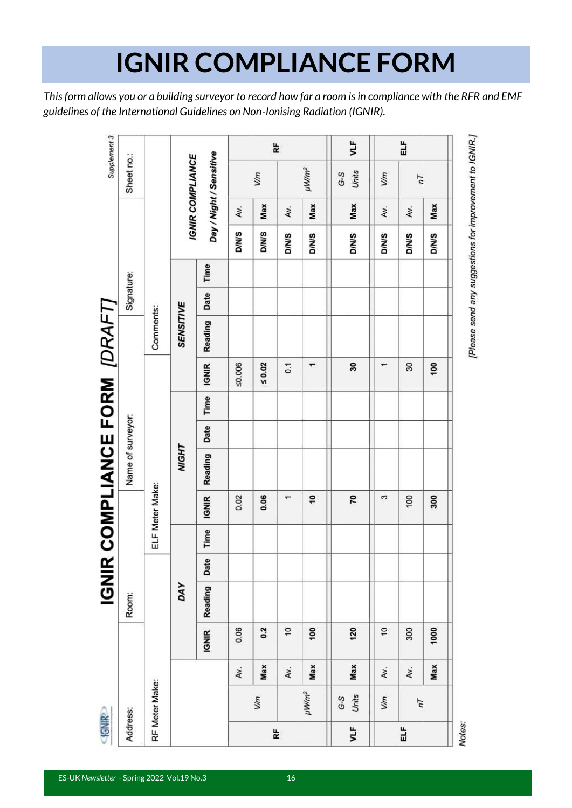## **IGNIR COMPLIANCE FORM**

*This form allows you or a building surveyor to record how far a room is in compliance with the RFR and EMF guidelines of the International Guidelines on Non-Ionising Radiation (IGNIR).*

| <b>SAIRP</b> |                        |     |              |         |      |      |                 | <b>IGNIR COMPLIANCE FORM [DRAFT]</b> |  |                   |                  |            |              |     |                         | Supplement 3 |
|--------------|------------------------|-----|--------------|---------|------|------|-----------------|--------------------------------------|--|-------------------|------------------|------------|--------------|-----|-------------------------|--------------|
| Address:     |                        |     |              | Room:   |      |      |                 | Name of surveyor:                    |  |                   |                  | Signature: |              |     | Sheet no.:              |              |
|              | RF Meter Make:         |     |              |         |      |      | ELF Meter Make: |                                      |  |                   | Comments:        |            |              |     |                         |              |
|              |                        |     |              | DAY     |      |      |                 | <b>NIGHT</b>                         |  |                   | <b>SENSITIVE</b> |            |              |     | <b>IGNIR COMPLIANCE</b> |              |
|              |                        |     | <b>IGNIR</b> | Reading | Date | Time | <b>IGNIR</b>    | Reading                              |  | Date Time   IGNIR | Reading          | Date Time  |              |     | Day / Night / Sensitive |              |
|              |                        | Av. | 0.06         |         |      |      | 0.02            |                                      |  | 50.006            |                  |            | <b>D/N/S</b> | Av. |                         |              |
|              | V/m                    | Max | 0.2          |         |      |      | 0.06            |                                      |  | $\leq 0.02$       |                  |            | <b>D/N/S</b> | Max | V/m                     |              |
| k            |                        | Av. | ö            |         |      |      | ٣               |                                      |  | 0.1               |                  |            | <b>D/N/S</b> | Av. |                         | l₽           |
|              | $\mu$ W/m <sup>2</sup> | Max | 90           |         |      |      | °,              |                                      |  | ٣                 |                  |            | <b>D/N/S</b> | Max | $\mu$ W/m <sup>2</sup>  |              |
| ξ            | Units<br>$G-S$         | Max | 120          |         |      |      | 20              |                                      |  | 30                |                  |            | <b>D/N/S</b> | Max | Units<br>$G-S$          | yTk          |
|              | V/m                    | Av. | $\tilde{c}$  |         |      |      | S               |                                      |  | ٣                 |                  |            | <b>S/N/O</b> | Av. | Vim                     |              |
| 늽            | $\overline{h}$         | Av. | 300          |         |      |      | 100             |                                      |  | 30                |                  |            | <b>D/N/S</b> | Av. | $\overline{n}$          | 닙            |
|              |                        | Max | 1000         |         |      |      | 300             |                                      |  | 100               |                  |            | <b>D/N/S</b> | Max |                         |              |
| Notes:       |                        |     |              |         |      |      |                 |                                      |  |                   |                  |            |              |     |                         |              |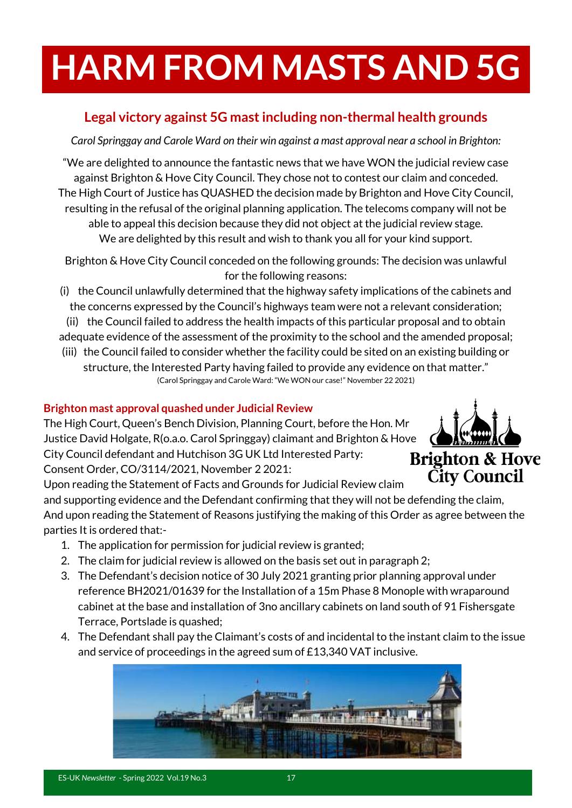# **HARM FROM MASTS AND 5G**

#### **Legal victory against 5G mast including non-thermal health grounds**

*Carol Springgay and Carole Ward on their win against a mast approval near a school in Brighton:*

"We are delighted to announce the fantastic news that we have WON the judicial review case against Brighton & Hove City Council. They chose not to contest our claim and conceded. The High Court of Justice has QUASHED the decision made by Brighton and Hove City Council, resulting in the refusal of the original planning application. The telecoms company will not be able to appeal this decision because they did not object at the judicial review stage. We are delighted by this result and wish to thank you all for your kind support.

Brighton & Hove City Council conceded on the following grounds: The decision was unlawful for the following reasons:

(i) the Council unlawfully determined that the highway safety implications of the cabinets and the concerns expressed by the Council's highways team were not a relevant consideration;

(ii) the Council failed to address the health impacts of this particular proposal and to obtain adequate evidence of the assessment of the proximity to the school and the amended proposal;

(iii) the Council failed to consider whether the facility could be sited on an existing building or structure, the Interested Party having failed to provide any evidence on that matter." (Carol Springgay and Carole Ward: "We WON our case!" November 22 2021)

#### **Brighton mast approval quashed under Judicial Review**

The High Court, Queen's Bench Division, Planning Court, before the Hon. Mr Justice David Holgate, R(o.a.o. Carol Springgay) claimant and Brighton & Hove City Council defendant and Hutchison 3G UK Ltd Interested Party: Consent Order, CO/3114/2021, November 2 2021:



Upon reading the Statement of Facts and Grounds for Judicial Review claim

and supporting evidence and the Defendant confirming that they will not be defending the claim, And upon reading the Statement of Reasons justifying the making of this Order as agree between the parties It is ordered that:-

- 1. The application for permission for judicial review is granted;
- 2. The claim for judicial review is allowed on the basis set out in paragraph 2;
- 3. The Defendant's decision notice of 30 July 2021 granting prior planning approval under reference BH2021/01639 for the Installation of a 15m Phase 8 Monople with wraparound cabinet at the base and installation of 3no ancillary cabinets on land south of 91 Fishersgate Terrace, Portslade is quashed;
- 4. The Defendant shall pay the Claimant's costs of and incidental to the instant claim to the issue and service of proceedings in the agreed sum of £13,340 VAT inclusive.

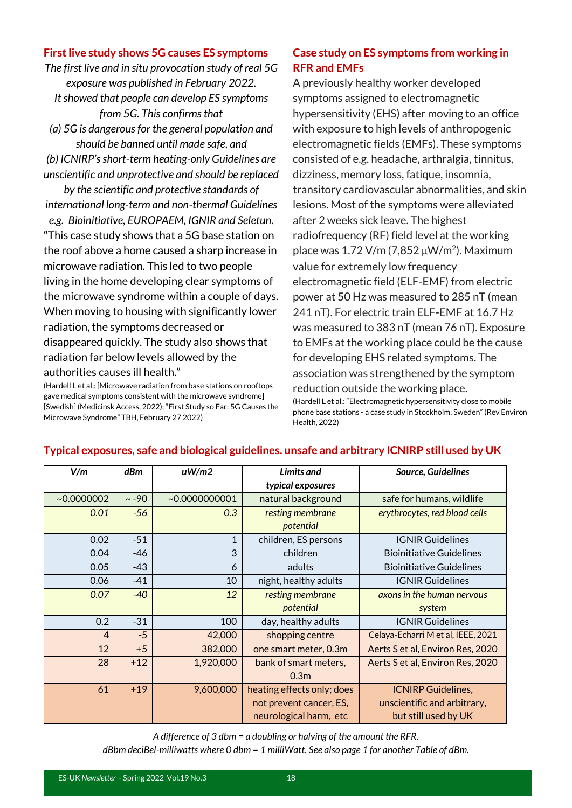#### **First live study shows 5G causes ES symptoms**

*The first live and in situ provocation study of real 5G exposure was published in February 2022.* 

*It showed that people can develop ES symptoms from 5G. This confirms that* 

*(a) 5G is dangerous for the general population and should be banned until made safe, and*

*(b) ICNIRP's short-term heating-only Guidelines are unscientific and unprotective and should be replaced* 

*by the scientific and protective standards of international long-term and non-thermal Guidelines* 

*e.g. Bioinitiative, EUROPAEM, IGNIR and Seletun.* **"**This case study shows that a 5G base station on the roof above a home caused a sharp increase in microwave radiation. This led to two people living in the home developing clear symptoms of the microwave syndrome within a couple of days. When moving to housing with significantly lower radiation, the symptoms decreased or disappeared quickly. The study also shows that radiation far below levels allowed by the authorities causes ill health."

(Hardell L et al.: [Microwave radiation from base stations on rooftops gave medical symptoms consistent with the microwave syndrome] [Swedish] (Medicinsk Access, 2022); "First Study so Far: 5G Causes the Microwave Syndrome" TBH, February 27 2022)

#### **Case study on ES symptoms from working in RFR and EMFs**

A previously healthy worker developed symptoms assigned to electromagnetic hypersensitivity (EHS) after moving to an office with exposure to high levels of anthropogenic electromagnetic fields (EMFs). These symptoms consisted of e.g. headache, arthralgia, tinnitus, dizziness, memory loss, fatique, insomnia, transitory cardiovascular abnormalities, and skin lesions. Most of the symptoms were alleviated after 2 weeks sick leave. The highest radiofrequency (RF) field level at the working place was  $1.72$  V/m (7,852  $\mu$ W/m<sup>2</sup>). Maximum value for extremely low frequency electromagnetic field (ELF-EMF) from electric power at 50 Hz was measured to 285 nT (mean 241 nT). For electric train ELF-EMF at 16.7 Hz was measured to 383 nT (mean 76 nT). Exposure to EMFs at the working place could be the cause for developing EHS related symptoms. The association was strengthened by the symptom reduction outside the working place. (Hardell L et al.: "Electromagnetic hypersensitivity close to mobile phone base stations - a case study in Stockholm, Sweden" (Rev Environ Health, 2022)

| V/m            | dBm        | uW/m2           | Limits and                 | Source, Guidelines                 |
|----------------|------------|-----------------|----------------------------|------------------------------------|
|                |            |                 | typical exposures          |                                    |
| $-0.0000002$   | $\sim -90$ | ~10.00000000001 | natural background         | safe for humans, wildlife          |
| 0.01           | $-56$      | 0.3             | resting membrane           | erythrocytes, red blood cells      |
|                |            |                 | potential                  |                                    |
| 0.02           | $-51$      | $\mathbf{1}$    | children, ES persons       | <b>IGNIR Guidelines</b>            |
| 0.04           | -46        | 3               | children                   | <b>Bioinitiative Guidelines</b>    |
| 0.05           | -43        | 6               | adults                     | <b>Bioinitiative Guidelines</b>    |
| 0.06           | $-41$      | 10              | night, healthy adults      | <b>IGNIR Guidelines</b>            |
| 0.07           | $-40$      | 12              | resting membrane           | axons in the human nervous         |
|                |            |                 | potential                  | system                             |
| 0.2            | $-31$      | 100             | day, healthy adults        | <b>IGNIR Guidelines</b>            |
| $\overline{4}$ | $-5$       | 42,000          | shopping centre            | Celaya-Echarri M et al, IEEE, 2021 |
| 12             | $+5$       | 382,000         | one smart meter, 0.3m      | Aerts S et al, Environ Res, 2020   |
| 28             | $+12$      | 1,920,000       | bank of smart meters,      | Aerts S et al, Environ Res, 2020   |
|                |            |                 | 0.3 <sub>m</sub>           |                                    |
| 61             | $+19$      | 9,600,000       | heating effects only; does | <b>ICNIRP Guidelines,</b>          |
|                |            |                 | not prevent cancer, ES,    | unscientific and arbitrary,        |
|                |            |                 | neurological harm, etc     | but still used by UK               |

#### **Typical exposures, safe and biological guidelines. unsafe and arbitrary ICNIRP still used by UK**

*A difference of 3 dbm = a doubling or halving of the amount the RFR.*

*dBbm deciBel-milliwatts where 0 dbm = 1 milliWatt. See also page 1 for another Table of dBm.*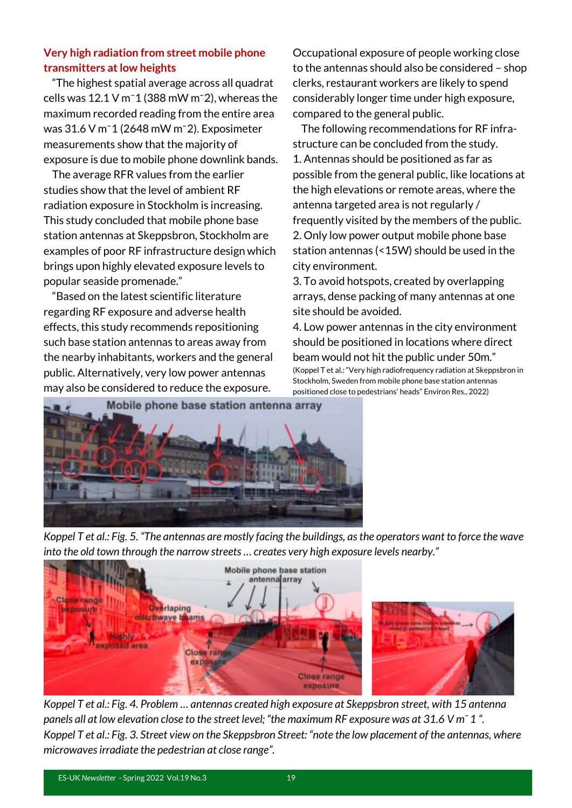#### **Very high radiation from street mobile phone transmitters at low heights**

 "The highest spatial average across all quadrat cells was  $12.1$  V m<sup> $-1$ </sup> (388 mW m $-2$ ), whereas the maximum recorded reading from the entire area was 31.6 V m⁻1 (2648 mW m⁻2). Exposimeter measurements show that the majority of exposure is due to mobile phone downlink bands.

 The average RFR values from the earlier studies show that the level of ambient RF radiation exposure in Stockholm is increasing. This study concluded that mobile phone base station antennas at Skeppsbron, Stockholm are examples of poor RF infrastructure design which brings upon highly elevated exposure levels to popular seaside promenade."

 "Based on the latest scientific literature regarding RF exposure and adverse health effects, this study recommends repositioning such base station antennas to areas away from the nearby inhabitants, workers and the general public. Alternatively, very low power antennas may also be considered to reduce the exposure.

Occupational exposure of people working close to the antennas should also be considered – shop clerks, restaurant workers are likely to spend considerably longer time under high exposure, compared to the general public.

 The following recommendations for RF infrastructure can be concluded from the study. 1. Antennas should be positioned as far as possible from the general public, like locations at the high elevations or remote areas, where the antenna targeted area is not regularly / frequently visited by the members of the public. 2. Only low power output mobile phone base station antennas (<15W) should be used in the city environment.

3. To avoid hotspots, created by overlapping arrays, dense packing of many antennas at one site should be avoided.

4. Low power antennas in the city environment should be positioned in locations where direct beam would not hit the public under 50m." (Koppel T et al.: "Very high radiofrequency radiation at Skeppsbron in Stockholm, Sweden from mobile phone base station antennas positioned close to pedestrians' heads" Environ Res., 2022)



*Koppel T et al.: Fig. 5. "The antennas are mostly facing the buildings, as the operators want to force the wave into the old town through the narrow streets … creates very high exposure levels nearby."* 



*Koppel T et al.: Fig. 4. Problem … antennas created high exposure at Skeppsbron street, with 15 antenna panels all at low elevation close to the street level; "the maximum RF exposure was at 31.6 V mˉ 1 ". Koppel T et al.: Fig. 3. Street view on the Skeppsbron Street: "note the low placement of the antennas, where microwaves irradiate the pedestrian at close range".*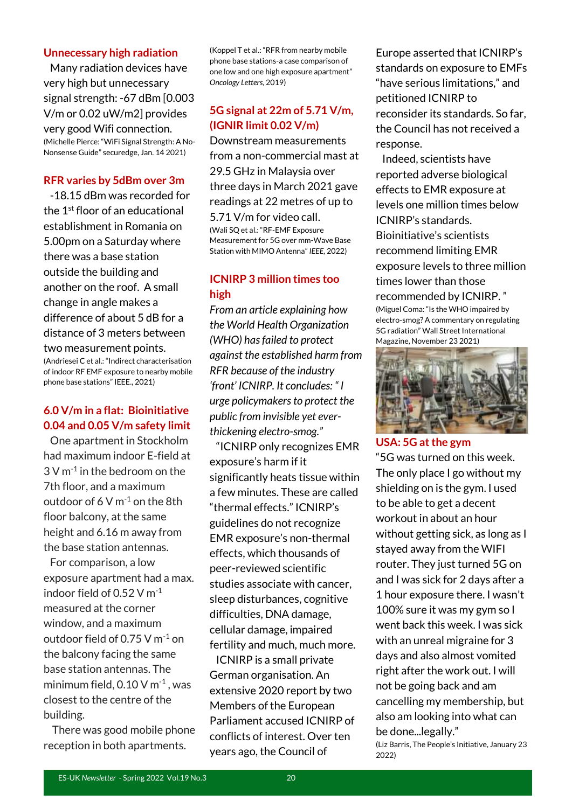#### **Unnecessary high radiation**

 Many radiation devices have very high but unnecessary signal strength: -67 dBm [0.003 V/m or 0.02 uW/m2] provides very good Wifi connection.

(Michelle Pierce: "WiFi Signal Strength: A No-Nonsense Guide" securedge, Jan. 14 2021)

#### **RFR varies by 5dBm over 3m**

 -18.15 dBm was recorded for the 1 st floor of an educational establishment in Romania on 5.00pm on a Saturday where there was a base station outside the building and another on the roof. A small change in angle makes a difference of about 5 dB for a distance of 3 meters between two measurement points. (Andriesei C et al.: "Indirect characterisation

of indoor RF EMF exposure to nearby mobile phone base stations" IEEE., 2021)

#### **6.0 V/m in a flat: Bioinitiative 0.04 and 0.05 V/m safety limit**

 One apartment in Stockholm had maximum indoor E-field at  $3$  V m $^{-1}$  in the bedroom on the 7th floor, and a maximum outdoor of  $6 \text{ V m}^{-1}$  on the 8th floor balcony, at the same height and 6.16 m away from the base station antennas.

 For comparison, a low exposure apartment had a max. indoor field of 0.52 V m-1 measured at the corner window, and a maximum outdoor field of 0.75 V  $m^{-1}$  on the balcony facing the same base station antennas. The minimum field,  $0.10 \,$ V m $^{-1}$ , was closest to the centre of the building.

 There was good mobile phone reception in both apartments.

(Koppel T et al.: "RFR from nearby mobile phone base stations-a case comparison of one low and one high exposure apartment" *Oncology Letters,* 2019)

#### **5G signal at 22m of 5.71 V/m, (IGNIR limit 0.02 V/m)**

Downstream measurements from a non-commercial mast at 29.5 GHz in Malaysia over three days in March 2021 gave readings at 22 metres of up to 5.71 V/m for video call. (Wali SQ et al.: "RF-EMF Exposure Measurement for 5G over mm-Wave Base Station with MIMO Antenna" *IEEE,* 2022)

#### **ICNIRP 3 million times too high**

*From an article explaining how the World Health Organization (WHO) has failed to protect against the established harm from RFR because of the industry 'front' ICNIRP. It concludes: " I urge policymakers to protect the public from invisible yet everthickening electro-smog."*

 "ICNIRP only recognizes EMR exposure's harm if it significantly heats tissue within a few minutes. These are called "thermal effects." ICNIRP's guidelines do not recognize EMR exposure's non-thermal effects, which thousands of peer-reviewed scientific studies associate with cancer, sleep disturbances, cognitive difficulties, DNA damage, cellular damage, impaired fertility and much, much more.

 ICNIRP is a small private German organisation. An extensive 2020 report by two Members of the European Parliament accused ICNIRP of conflicts of interest. Over ten years ago, the Council of

Europe asserted that ICNIRP's standards on exposure to EMFs "have serious limitations," and petitioned ICNIRP to reconsider its standards. So far, the Council has not received a response.

 Indeed, scientists have reported adverse biological effects to EMR exposure at levels one million times below ICNIRP's standards. Bioinitiative's scientists recommend limiting EMR exposure levels to three million times lower than those recommended by ICNIRP. " (Miguel Coma: "Is the WHO impaired by

electro-smog? A commentary on regulating 5G radiation" Wall Street International Magazine, November 23 2021)



#### **USA: 5G at the gym**

"5G was turned on this week. The only place I go without my shielding on is the gym. I used to be able to get a decent workout in about an hour without getting sick, as long as I stayed away from the WIFI router. They just turned 5G on and I was sick for 2 days after a 1 hour exposure there. I wasn't 100% sure it was my gym so I went back this week. I was sick with an unreal migraine for 3 days and also almost vomited right after the work out. I will not be going back and am cancelling my membership, but also am looking into what can be done...legally."

(Liz Barris, The People's Initiative, January 23 2022)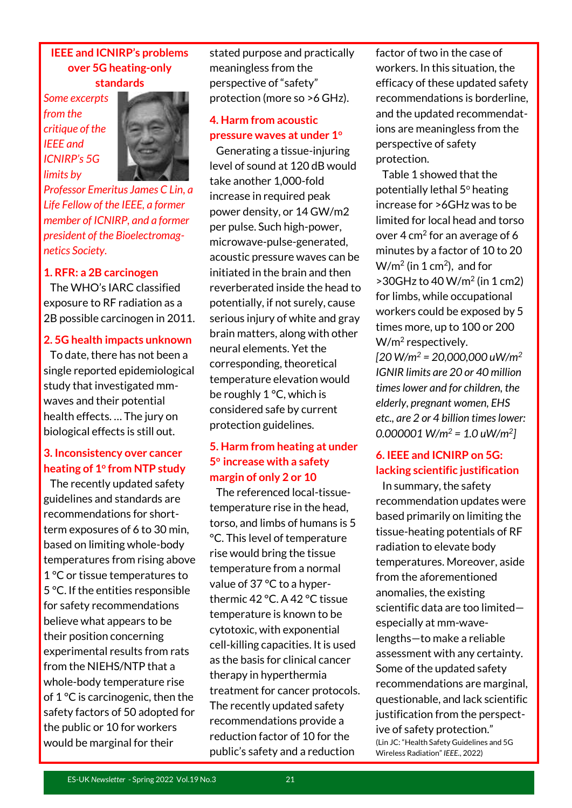#### **IEEE and ICNIRP's problems over 5G heating-only standards**

*Some excerpts from the critique of the IEEE and ICNIRP's 5G limits by* 



*Professor Emeritus James C Lin, a Life Fellow of the IEEE, a former member of ICNIRP, and a former president of the Bioelectromagnetics Society.*

#### **1. RFR: a 2B carcinogen**

 The WHO's IARC classified exposure to RF radiation as a 2B possible carcinogen in 2011.

#### **2. 5G health impacts unknown**

 To date, there has not been a single reported epidemiological study that investigated mmwaves and their potential health effects. … The jury on biological effects is still out.

#### **3. Inconsistency over cancer heating of 1<sup>o</sup> from NTP study**

 The recently updated safety guidelines and standards are recommendations for shortterm exposures of 6 to 30 min, based on limiting whole-body temperatures from rising above 1 °C or tissue temperatures to 5 °C. If the entities responsible for safety recommendations believe what appears to be their position concerning experimental results from rats from the NIEHS/NTP that a whole-body temperature rise of 1 °C is carcinogenic, then the safety factors of 50 adopted for the public or 10 for workers would be marginal for their

stated purpose and practically meaningless from the perspective of "safety" protection (more so >6 GHz).

#### **4. Harm from acoustic pressure waves at under 1<sup>o</sup>**

 Generating a tissue-injuring level of sound at 120 dB would take another 1,000-fold increase in required peak power density, or 14 GW/m2 per pulse. Such high-power, microwave-pulse-generated, acoustic pressure waves can be initiated in the brain and then reverberated inside the head to potentially, if not surely, cause serious injury of white and gray brain matters, along with other neural elements. Yet the corresponding, theoretical temperature elevation would be roughly 1 °C, which is considered safe by current protection guidelines.

#### **5. Harm from heating at under 5 <sup>o</sup>increase with a safety margin of only 2 or 10**

 The referenced local-tissuetemperature rise in the head, torso, and limbs of humans is 5 °C. This level of temperature rise would bring the tissue temperature from a normal value of 37 °C to a hyperthermic 42 °C. A 42 °C tissue temperature is known to be cytotoxic, with exponential cell-killing capacities. It is used as the basis for clinical cancer therapy in hyperthermia treatment for cancer protocols. The recently updated safety recommendations provide a reduction factor of 10 for the public's safety and a reduction

factor of two in the case of workers. In this situation, the efficacy of these updated safety recommendations is borderline, and the updated recommendations are meaningless from the perspective of safety protection.

 Table 1 showed that the potentially lethal  $5^\circ$  heating increase for >6GHz was to be limited for local head and torso over 4  $cm<sup>2</sup>$  for an average of 6 minutes by a factor of 10 to 20  $W/m<sup>2</sup>$  (in 1 cm<sup>2</sup>), and for  $>$  30GHz to 40 W/m<sup>2</sup> (in 1 cm2) for limbs, while occupational workers could be exposed by 5 times more, up to 100 or 200 W/m<sup>2</sup> respectively. *[20 W/m<sup>2</sup> = 20,000,000 uW/m<sup>2</sup> IGNIR limits are 20 or 40 million times lower and for children, the elderly, pregnant women, EHS etc., are 2 or 4 billion times lower: 0.000001 W/m<sup>2</sup> = 1.0 uW/m<sup>2</sup> ]*

#### **6. IEEE and ICNIRP on 5G: lacking scientific justification**

 In summary, the safety recommendation updates were based primarily on limiting the tissue-heating potentials of RF radiation to elevate body temperatures. Moreover, aside from the aforementioned anomalies, the existing scientific data are too limited especially at mm-wavelengths—to make a reliable assessment with any certainty. Some of the updated safety recommendations are marginal, questionable, and lack scientific justification from the perspective of safety protection." (Lin JC: "Health Safety Guidelines and 5G Wireless Radiation" *IEEE.*, 2022)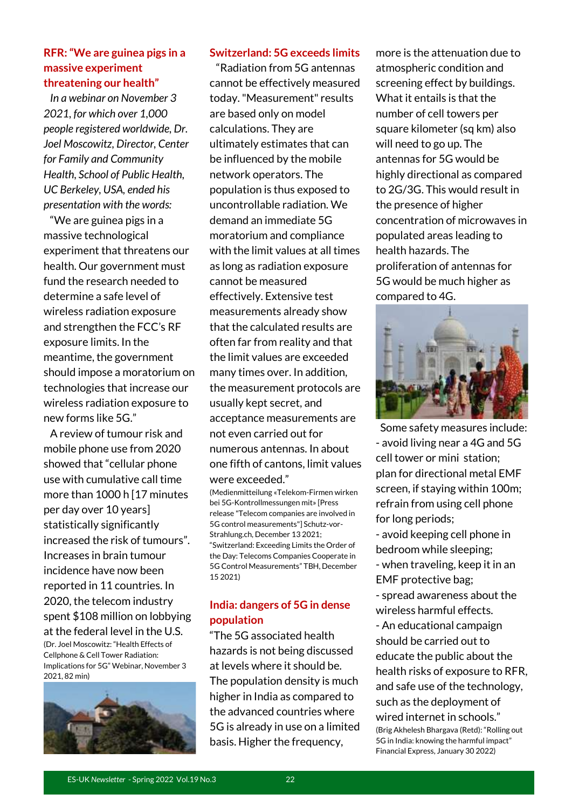#### **RFR: "We are guinea pigs in a massive experiment threatening our health"**

 *In a webinar on November 3 2021, for which over 1,000 people registered worldwide, Dr. Joel Moscowitz, Director, Center for Family and Community Health, School of Public Health, UC Berkeley, USA, ended his presentation with the words:* 

 "We are guinea pigs in a massive technological experiment that threatens our health. Our government must fund the research needed to determine a safe level of wireless radiation exposure and strengthen the FCC's RF exposure limits. In the meantime, the government should impose a moratorium on technologies that increase our wireless radiation exposure to new forms like 5G."

 A review of tumour risk and mobile phone use from 2020 showed that "cellular phone use with cumulative call time more than 1000 h [17 minutes per day over 10 years] statistically significantly increased the risk of tumours". Increases in brain tumour incidence have now been reported in 11 countries. In 2020, the telecom industry spent \$108 million on lobbying at the federal level in the U.S. (Dr. Joel Moscowitz: "Health Effects of Cellphone & Cell Tower Radiation: Implications for 5G" Webinar, November 3 2021, 82 min)



#### **Switzerland: 5G exceeds limits**

 "Radiation from 5G antennas cannot be effectively measured today. "Measurement" results are based only on model calculations. They are ultimately estimates that can be influenced by the mobile network operators. The population is thus exposed to uncontrollable radiation. We demand an immediate 5G moratorium and compliance with the limit values at all times as long as radiation exposure cannot be measured effectively. Extensive test measurements already show that the calculated results are often far from reality and that the limit values are exceeded many times over. In addition, the measurement protocols are usually kept secret, and acceptance measurements are not even carried out for numerous antennas. In about one fifth of cantons, limit values were exceeded."

(Medienmitteilung «Telekom-Firmen wirken bei 5G-Kontrollmessungen mit» [Press release "Telecom companies are involved in 5G control measurements"] Schutz-vor-Strahlung.ch, December 13 2021; "Switzerland: Exceeding Limits the Order of the Day: Telecoms Companies Cooperate in 5G Control Measurements" TBH, December 15 2021)

#### **India: dangers of 5G in dense population**

"The 5G associated health hazards is not being discussed at levels where it should be. The population density is much higher in India as compared to the advanced countries where 5G is already in use on a limited basis. Higher the frequency,

more is the attenuation due to atmospheric condition and screening effect by buildings. What it entails is that the number of cell towers per square kilometer (sq km) also will need to go up. The antennas for 5G would be highly directional as compared to 2G/3G. This would result in the presence of higher concentration of microwaves in populated areas leading to health hazards. The proliferation of antennas for 5G would be much higher as compared to 4G.



 Some safety measures include: - avoid living near a 4G and 5G cell tower or mini station; plan for directional metal EMF screen, if staying within 100m; refrain from using cell phone for long periods;

- avoid keeping cell phone in bedroom while sleeping; - when traveling, keep it in an EMF protective bag;

- spread awareness about the wireless harmful effects.

- An educational campaign should be carried out to educate the public about the health risks of exposure to RFR, and safe use of the technology, such as the deployment of wired internet in schools." (Brig Akhelesh Bhargava (Retd): "Rolling out 5G in India: knowing the harmful impact" Financial Express, January 30 2022)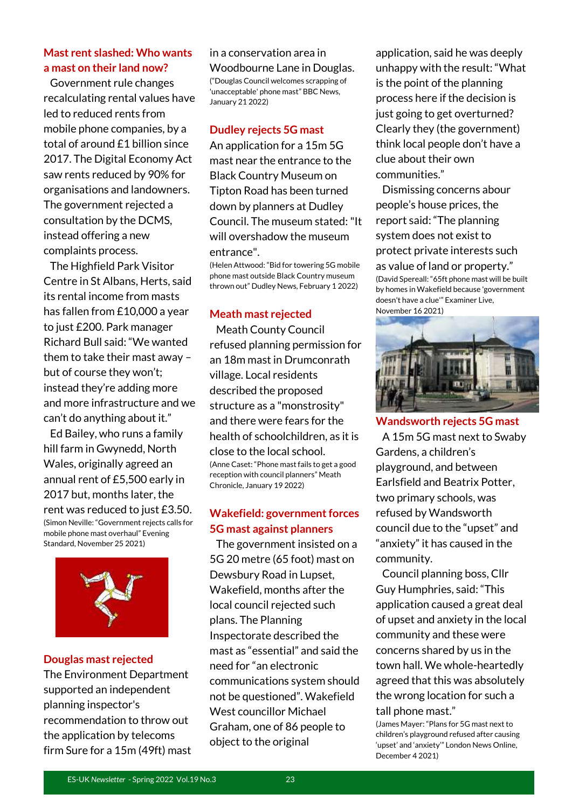#### **Mast rent slashed: Who wants a mast on their land now?**

 Government rule changes recalculating rental values have led to reduced rents from mobile phone companies, by a total of around £1 billion since 2017. The Digital Economy Act saw rents reduced by 90% for organisations and landowners. The government rejected a consultation by the DCMS, instead offering a new complaints process.

 The Highfield Park Visitor Centre in St Albans, Herts, said its rental income from masts has fallen from £10,000 a year to just £200. Park manager Richard Bull said: "We wanted them to take their mast away – but of course they won't; instead they're adding more and more infrastructure and we can't do anything about it."

 Ed Bailey, who runs a family hill farm in Gwynedd, North Wales, originally agreed an annual rent of £5,500 early in 2017 but, months later, the rent was reduced to just £3.50. (Simon Neville: "Government rejects calls for mobile phone mast overhaul" Evening Standard, November 25 2021)



#### **Douglas mast rejected**

The Environment Department supported an independent planning inspector's recommendation to throw out the application by telecoms firm Sure for a 15m (49ft) mast

#### in a conservation area in

Woodbourne Lane in Douglas. ("Douglas Council welcomes scrapping of 'unacceptable' phone mast" BBC News, January 21 2022)

#### **Dudley rejects 5G mast**

An application for a 15m 5G mast near the entrance to the Black Country Museum on Tipton Road has been turned down by planners at Dudley Council. The museum stated: "It will overshadow the museum entrance".

(Helen Attwood: "Bid for towering 5G mobile phone mast outside Black Country museum thrown out" Dudley News, February 1 2022)

#### **Meath mast rejected**

 Meath County Council refused planning permission for an 18m mast in Drumconrath village. Local residents described the proposed structure as a "monstrosity" and there were fears for the health of schoolchildren, as it is close to the local school. (Anne Caset: "Phone mast fails to get a good reception with council planners" Meath Chronicle, January 19 2022)

#### **Wakefield: government forces 5G mast against planners**

 The government insisted on a 5G 20 metre (65 foot) mast on Dewsbury Road in Lupset, Wakefield, months after the local council rejected such plans. The Planning Inspectorate described the mast as "essential" and said the need for "an electronic communications system should not be questioned". Wakefield West councillor Michael Graham, one of 86 people to object to the original

application, said he was deeply unhappy with the result: "What is the point of the planning process here if the decision is just going to get overturned? Clearly they (the government) think local people don't have a clue about their own communities."

 Dismissing concerns abour people's house prices, the report said: "The planning system does not exist to protect private interests such as value of land or property." (David Spereall: "65ft phone mast will be built by homes in Wakefield because 'government doesn't have a clue'" Examiner Live, November 16 2021)



**Wandsworth rejects 5G mast** A 15m 5G mast next to Swaby Gardens, a children's playground, and between Earlsfield and Beatrix Potter, two primary schools, was refused by Wandsworth council due to the "upset" and "anxiety" it has caused in the community.

 Council planning boss, Cllr Guy Humphries, said: "This application caused a great deal of upset and anxiety in the local community and these were concerns shared by us in the town hall. We whole-heartedly agreed that this was absolutely the wrong location for such a tall phone mast."

(James Mayer: "Plans for 5G mast next to children's playground refused after causing 'upset' and 'anxiety'" London News Online, December 4 2021)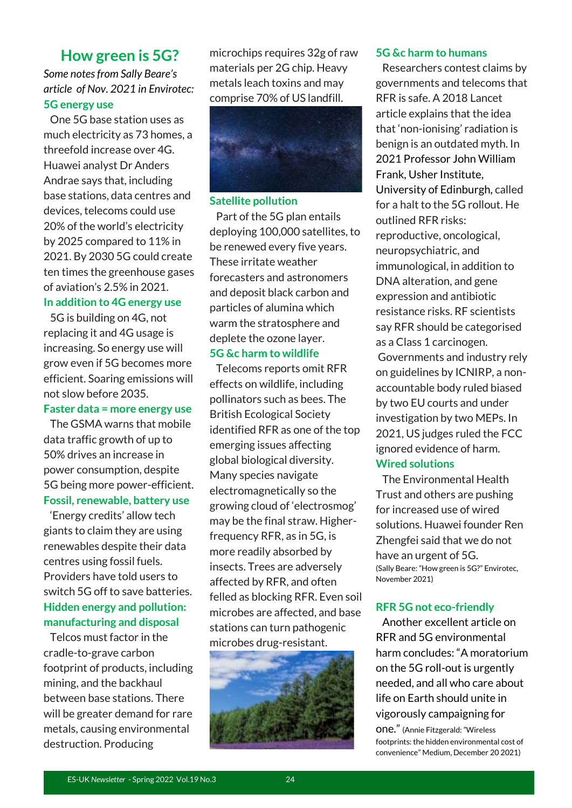#### **How green is 5G?**

#### *Some notes from Sally Beare's article of Nov. 2021 in Envirotec:* **5G energy use**

 One 5G base station uses as much electricity as 73 homes, a threefold increase over 4G. Huawei analyst Dr Anders Andrae says that, including base stations, data centres and devices, telecoms could use 20% of the world's electricity by 2025 compared to 11% in 2021. By 2030 5G could create ten times the greenhouse gases of aviation's 2.5% in 2021.

#### **In addition to 4G energy use**

 5G is building on 4G, not replacing it and 4G usage is increasing. So energy use will grow even if 5G becomes more efficient. Soaring emissions will not slow before 2035.

#### **Faster data = more energy use**

 The GSMA warns that mobile data traffic growth of up to 50% drives an increase in power consumption, despite 5G being more power-efficient. **Fossil, renewable, battery use**

 'Energy credits' allow tech giants to claim they are using renewables despite their data centres using fossil fuels. Providers have told users to switch 5G off to save batteries. **Hidden energy and pollution: manufacturing and disposal**

 Telcos must factor in the cradle-to-grave carbon footprint of products, including mining, and the backhaul between base stations. There will be greater demand for rare metals, causing environmental destruction. Producing

microchips requires 32g of raw materials per 2G chip. Heavy metals leach toxins and may comprise 70% of US landfill.



#### **Satellite pollution**

 Part of the 5G plan entails deploying 100,000 satellites, to be renewed every five years. These irritate weather forecasters and astronomers and deposit black carbon and particles of alumina which warm the stratosphere and deplete the ozone layer. **5G &c harm to wildlife**

 Telecoms reports omit RFR effects on wildlife, including pollinators such as bees. The British Ecological Society identified RFR as one of the top emerging issues affecting global biological diversity. Many species navigate electromagnetically so the growing cloud of 'electrosmog' may be the final straw. Higherfrequency RFR, as in 5G, is more readily absorbed by insects. Trees are adversely affected by RFR, and often felled as blocking RFR. Even soil microbes are affected, and base stations can turn pathogenic microbes drug-resistant.



#### **5G &c harm to humans**

 Researchers contest claims by governments and telecoms that RFR is safe. A 2018 Lancet article explains that the idea that 'non-ionising' radiation is benign is an outdated myth. In 2021 Professor John William Frank, Usher Institute, University of Edinburgh, called for a halt to the 5G rollout. He outlined RFR risks: reproductive, oncological, neuropsychiatric, and immunological, in addition to DNA alteration, and gene expression and antibiotic resistance risks. RF scientists say RFR should be categorised as a Class 1 carcinogen. Governments and industry rely on guidelines by ICNIRP, a nonaccountable body ruled biased by two EU courts and under investigation by two MEPs. In 2021, US judges ruled the FCC ignored evidence of harm.

#### **Wired solutions**

 The Environmental Health Trust and others are pushing for increased use of wired solutions. Huawei founder Ren Zhengfei said that we do not have an urgent of 5G. (Sally Beare: "How green is 5G?" Envirotec, November 2021)

#### **RFR 5G not eco-friendly**

 Another excellent article on RFR and 5G environmental harm concludes: "A moratorium on the 5G roll-out is urgently needed, and all who care about life on Earth should unite in vigorously campaigning for one." (Annie Fitzgerald: "Wireless

footprints: the hidden environmental cost of convenience" Medium, December 20 2021)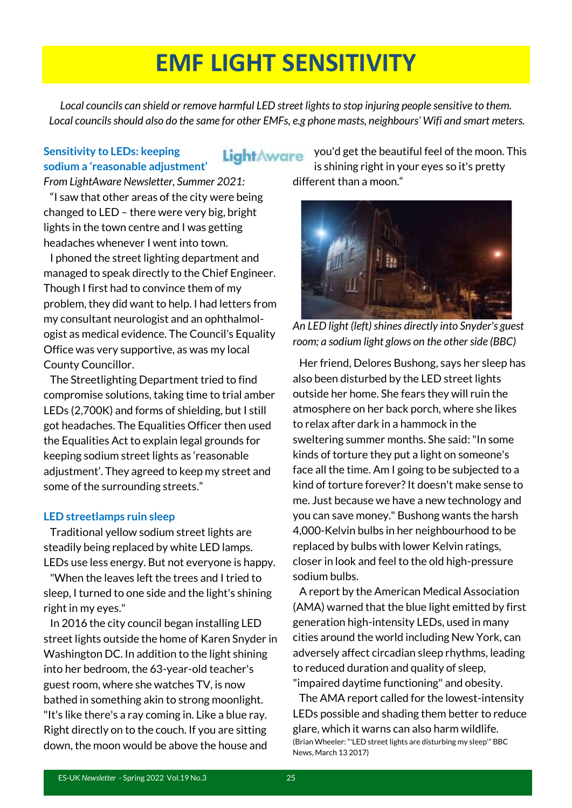## **EMF LIGHT SENSITIVITY**

*Local councils can shield or remove harmful LED street lights to stop injuring people sensitive to them. Local councils should also do the same for other EMFs, e.g phone masts, neighbours' Wifi and smart meters.*

#### **Sensitivity to LEDs: keeping sodium a 'reasonable adjustment'**

#### LightAware

*From LightAware Newsletter, Summer 2021:*

 "I saw that other areas of the city were being changed to LED – there were very big, bright lights in the town centre and I was getting headaches whenever I went into town.

 I phoned the street lighting department and managed to speak directly to the Chief Engineer. Though I first had to convince them of my problem, they did want to help. I had letters from my consultant neurologist and an ophthalmologist as medical evidence. The Council's Equality Office was very supportive, as was my local County Councillor.

 The Streetlighting Department tried to find compromise solutions, taking time to trial amber LEDs (2,700K) and forms of shielding, but I still got headaches. The Equalities Officer then used the Equalities Act to explain legal grounds for keeping sodium street lights as 'reasonable adjustment'. They agreed to keep my street and some of the surrounding streets."

#### **LED streetlamps ruin sleep**

 Traditional yellow sodium street lights are steadily being replaced by white LED lamps. LEDs use less energy. But not everyone is happy.

 "When the leaves left the trees and I tried to sleep, I turned to one side and the light's shining right in my eyes."

 In 2016 the city council began installing LED street lights outside the home of Karen Snyder in Washington DC. In addition to the light shining into her bedroom, the 63-year-old teacher's guest room, where she watches TV, is now bathed in something akin to strong moonlight. "It's like there's a ray coming in. Like a blue ray. Right directly on to the couch. If you are sitting down, the moon would be above the house and

you'd get the beautiful feel of the moon. This is shining right in your eyes so it's pretty different than a moon."



*An LED light (left) shines directly into Snyder's guest room; a sodium light glows on the other side (BBC)*

 Her friend, Delores Bushong, says her sleep has also been disturbed by the LED street lights outside her home. She fears they will ruin the atmosphere on her back porch, where she likes to relax after dark in a hammock in the sweltering summer months. She said: "In some kinds of torture they put a light on someone's face all the time. Am I going to be subjected to a kind of torture forever? It doesn't make sense to me. Just because we have a new technology and you can save money." Bushong wants the harsh 4,000-Kelvin bulbs in her neighbourhood to be replaced by bulbs with lower Kelvin ratings, closer in look and feel to the old high-pressure sodium bulbs.

 A report by the American Medical Association (AMA) warned that the blue light emitted by first generation high-intensity LEDs, used in many cities around the world including New York, can adversely affect circadian sleep rhythms, leading to reduced duration and quality of sleep, "impaired daytime functioning" and obesity.

 The AMA report called for the lowest-intensity LEDs possible and shading them better to reduce glare, which it warns can also harm wildlife. (Brian Wheeler: "'LED street lights are disturbing my sleep'" BBC News, March 13 2017)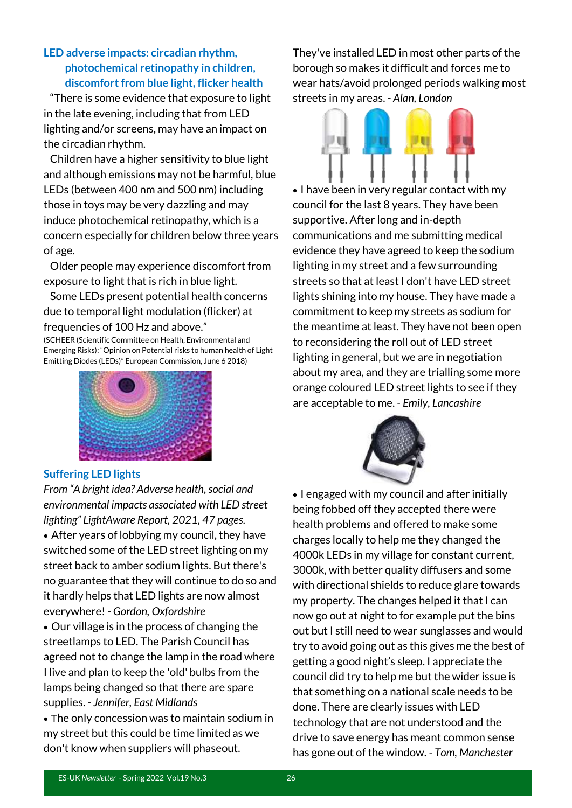#### **LED adverse impacts: circadian rhythm, photochemical retinopathy in children, discomfort from blue light, flicker health**

 "There is some evidence that exposure to light in the late evening, including that from LED lighting and/or screens, may have an impact on the circadian rhythm.

 Children have a higher sensitivity to blue light and although emissions may not be harmful, blue LEDs (between 400 nm and 500 nm) including those in toys may be very dazzling and may induce photochemical retinopathy, which is a concern especially for children below three years of age.

 Older people may experience discomfort from exposure to light that is rich in blue light.

 Some LEDs present potential health concerns due to temporal light modulation (flicker) at frequencies of 100 Hz and above."

(SCHEER (Scientific Committee on Health, Environmental and Emerging Risks): "Opinion on Potential risks to human health of Light Emitting Diodes (LEDs)" European Commission, June 6 2018)



They've installed LED in most other parts of the borough so makes it difficult and forces me to wear hats/avoid prolonged periods walking most streets in my areas. *- Alan, London*



• I have been in very regular contact with my council for the last 8 years. They have been supportive. After long and in-depth communications and me submitting medical evidence they have agreed to keep the sodium lighting in my street and a few surrounding streets so that at least I don't have LED street lights shining into my house. They have made a commitment to keep my streets as sodium for the meantime at least. They have not been open to reconsidering the roll out of LED street lighting in general, but we are in negotiation about my area, and they are trialling some more orange coloured LED street lights to see if they are acceptable to me. *- Emily, Lancashire*

#### **Suffering LED lights**

*From "A bright idea? Adverse health, social and environmental impacts associated with LED street lighting" LightAware Report, 2021, 47 pages.*

• After years of lobbying my council, they have switched some of the LED street lighting on my street back to amber sodium lights. But there's no guarantee that they will continue to do so and it hardly helps that LED lights are now almost everywhere! *- Gordon, Oxfordshire* 

• Our village is in the process of changing the streetlamps to LED. The Parish Council has agreed not to change the lamp in the road where I live and plan to keep the 'old' bulbs from the lamps being changed so that there are spare supplies. *- Jennifer, East Midlands* 

• The only concession was to maintain sodium in my street but this could be time limited as we don't know when suppliers will phaseout.

• I engaged with my council and after initially being fobbed off they accepted there were health problems and offered to make some charges locally to help me they changed the 4000k LEDs in my village for constant current, 3000k, with better quality diffusers and some with directional shields to reduce glare towards my property. The changes helped it that I can now go out at night to for example put the bins out but I still need to wear sunglasses and would try to avoid going out as this gives me the best of getting a good night's sleep. I appreciate the council did try to help me but the wider issue is that something on a national scale needs to be done. There are clearly issues with LED technology that are not understood and the drive to save energy has meant common sense has gone out of the window. *- Tom, Manchester*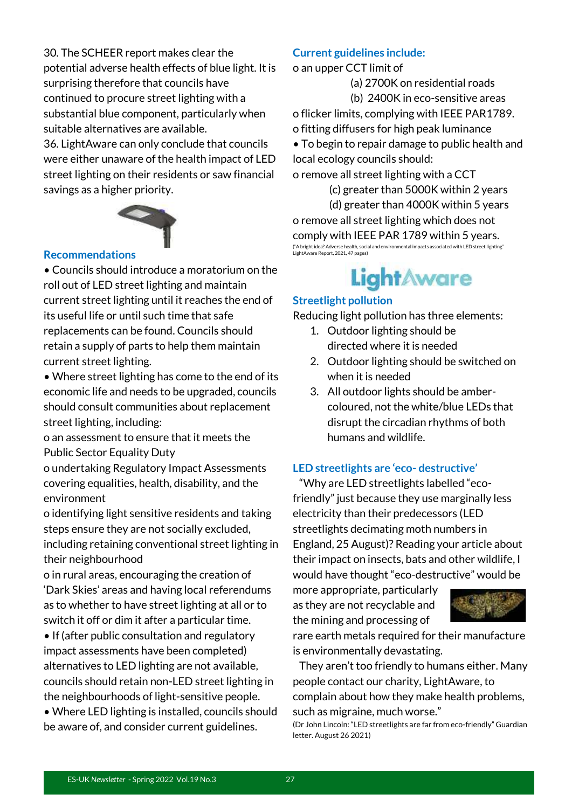30. The SCHEER report makes clear the potential adverse health effects of blue light. It is surprising therefore that councils have continued to procure street lighting with a substantial blue component, particularly when suitable alternatives are available.

36. LightAware can only conclude that councils were either unaware of the health impact of LED street lighting on their residents or saw financial savings as a higher priority.



#### **Recommendations**

• Councils should introduce a moratorium on the roll out of LED street lighting and maintain current street lighting until it reaches the end of its useful life or until such time that safe replacements can be found. Councils should retain a supply of parts to help them maintain current street lighting.

• Where street lighting has come to the end of its economic life and needs to be upgraded, councils should consult communities about replacement street lighting, including:

o an assessment to ensure that it meets the Public Sector Equality Duty

o undertaking Regulatory Impact Assessments covering equalities, health, disability, and the environment

o identifying light sensitive residents and taking steps ensure they are not socially excluded, including retaining conventional street lighting in their neighbourhood

o in rural areas, encouraging the creation of 'Dark Skies' areas and having local referendums as to whether to have street lighting at all or to switch it off or dim it after a particular time.

• If (after public consultation and regulatory impact assessments have been completed) alternatives to LED lighting are not available, councils should retain non-LED street lighting in the neighbourhoods of light-sensitive people.

• Where LED lighting is installed, councils should be aware of, and consider current guidelines.

#### **Current guidelines include:**

o an upper CCT limit of

(a) 2700K on residential roads

(b) 2400K in eco-sensitive areas

o flicker limits, complying with IEEE PAR1789. o fitting diffusers for high peak luminance

• To begin to repair damage to public health and local ecology councils should:

o remove all street lighting with a CCT

 (c) greater than 5000K within 2 years (d) greater than 4000K within 5 years o remove all street lighting which does not comply with IEEE PAR 1789 within 5 years. ("A bright idea? Adverse health, social and environmental impacts associated with LED street lighting" LightAware Report, 2021, 47 pages)

### LightAware

#### **Streetlight pollution**

Reducing light pollution has three elements:

- 1. Outdoor lighting should be directed where it is needed
- 2. Outdoor lighting should be switched on when it is needed
- 3. All outdoor lights should be ambercoloured, not the white/blue LEDs that disrupt the circadian rhythms of both humans and wildlife.

#### **LED streetlights are 'eco- destructive'**

 "Why are LED streetlights labelled "ecofriendly" just because they use marginally less electricity than their predecessors (LED streetlights decimating moth numbers in England, 25 August)? Reading your article about their impact on insects, bats and other wildlife, I would have thought "eco-destructive" would be

more appropriate, particularly as they are not recyclable and the mining and processing of



rare earth metals required for their manufacture is environmentally devastating.

 They aren't too friendly to humans either. Many people contact our charity, LightAware, to complain about how they make health problems,

such as migraine, much worse."

(Dr John Lincoln: "LED streetlights are far from eco-friendly" Guardian letter. August 26 2021)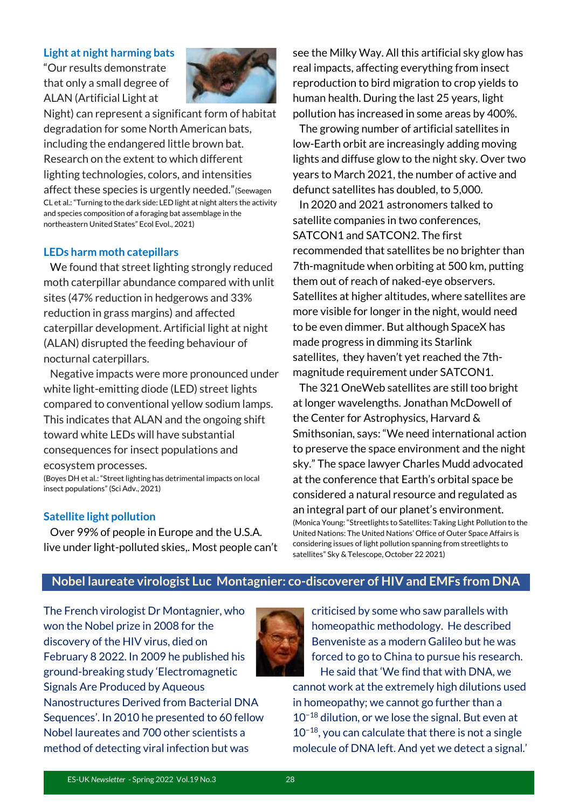#### **Light at night harming bats**

"Our results demonstrate that only a small degree of ALAN (Artificial Light at



Night) can represent a significant form of habitat degradation for some North American bats, including the endangered little brown bat. Research on the extent to which different lighting technologies, colors, and intensities affect these species is urgently needed."(Seewagen CL et al.: "Turning to the dark side: LED light at night alters the activity and species composition of a foraging bat assemblage in the northeastern United States" Ecol Evol., 2021)

#### **LEDs harm moth catepillars**

 We found that street lighting strongly reduced moth caterpillar abundance compared with unlit sites (47% reduction in hedgerows and 33% reduction in grass margins) and affected caterpillar development. Artificial light at night (ALAN) disrupted the feeding behaviour of nocturnal caterpillars.

 Negative impacts were more pronounced under white light-emitting diode (LED) street lights compared to conventional yellow sodium lamps. This indicates that ALAN and the ongoing shift toward white LEDs will have substantial consequences for insect populations and ecosystem processes.

(Boyes DH et al.: "Street lighting has detrimental impacts on local insect populations" (Sci Adv., 2021)

#### **Satellite light pollution**

 Over 99% of people in Europe and the U.S.A. live under light-polluted skies,. Most people can't see the Milky Way. All this artificial sky glow has real impacts, affecting everything from insect reproduction to bird migration to crop yields to human health. During the last 25 years, light pollution has increased in some areas by 400%.

 The growing number of artificial satellites in low-Earth orbit are increasingly adding moving lights and diffuse glow to the night sky. Over two years to March 2021, the number of active and defunct satellites has doubled, to 5,000.

 In 2020 and 2021 astronomers talked to satellite companies in two conferences, SATCON1 and SATCON2. The first recommended that satellites be no brighter than 7th-magnitude when orbiting at 500 km, putting them out of reach of naked-eye observers. Satellites at higher altitudes, where satellites are more visible for longer in the night, would need to be even dimmer. But although SpaceX has made progress in dimming its Starlink satellites, they haven't yet reached the 7thmagnitude requirement under SATCON1.

 The 321 OneWeb satellites are still too bright at longer wavelengths. Jonathan McDowell of the Center for Astrophysics, Harvard & Smithsonian, says: "We need international action to preserve the space environment and the night sky." The space lawyer Charles Mudd advocated at the conference that Earth's orbital space be considered a natural resource and regulated as an integral part of our planet's environment. (Monica Young: "Streetlights to Satellites: Taking Light Pollution to the United Nations: The United Nations' Office of Outer Space Affairs is considering issues of light pollution spanning from streetlights to satellites" Sky & Telescope, October 22 2021)

#### **Nobel laureate virologist Luc Montagnier: co-discoverer of HIV and EMFs from DNA**

The French virologist Dr Montagnier, who won the Nobel prize in 2008 for the discovery of the HIV virus, died on February 8 2022. In 2009 he published his ground-breaking study 'Electromagnetic Signals Are Produced by Aqueous Nanostructures Derived from Bacterial DNA Sequences'. In 2010 he presented to 60 fellow Nobel laureates and 700 other scientists a method of detecting viral infection but was



criticised by some who saw parallels with homeopathic methodology. He described Benveniste as a modern Galileo but he was forced to go to China to pursue his research. He said that 'We find that with DNA, we

cannot work at the extremely high dilutions used in homeopathy; we cannot go further than a 10−18 dilution, or we lose the signal. But even at 10−18, you can calculate that there is not a single molecule of DNA left. And yet we detect a signal.'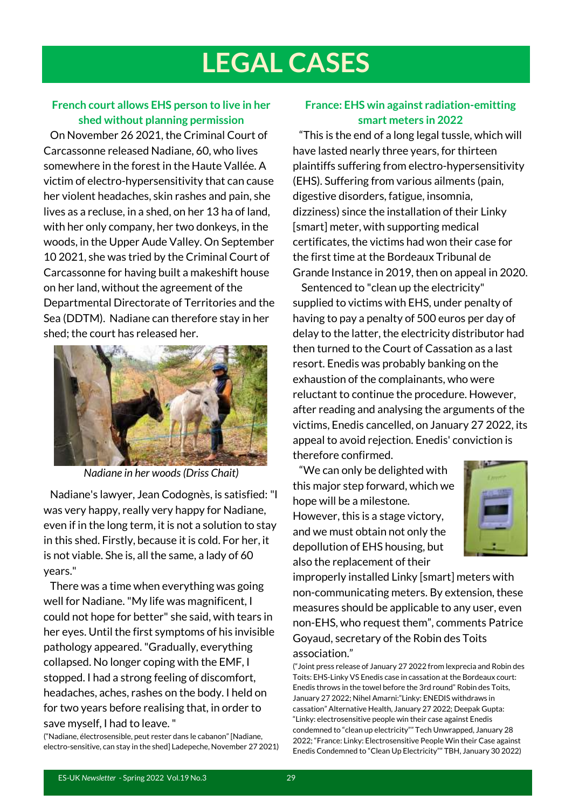## **LEGAL CASES**

#### **French court allows EHS person to live in her shed without planning permission**

 On November 26 2021, the Criminal Court of Carcassonne released Nadiane, 60, who lives somewhere in the forest in the Haute Vallée. A victim of electro-hypersensitivity that can cause her violent headaches, skin rashes and pain, she lives as a recluse, in a shed, on her 13 ha of land, with her only company, her two donkeys, in the woods, in the Upper Aude Valley. On September 10 2021, she was tried by the Criminal Court of Carcassonne for having built a makeshift house on her land, without the agreement of the Departmental Directorate of Territories and the Sea (DDTM). Nadiane can therefore stay in her shed; the court has released her.



*Nadiane in her woods (Driss Chait)*

 Nadiane's lawyer, Jean Codognès, is satisfied: "I was very happy, really very happy for Nadiane, even if in the long term, it is not a solution to stay in this shed. Firstly, because it is cold. For her, it is not viable. She is, all the same, a lady of 60 years."

 There was a time when everything was going well for Nadiane. "My life was magnificent, I could not hope for better" she said, with tears in her eyes. Until the first symptoms of his invisible pathology appeared. "Gradually, everything collapsed. No longer coping with the EMF, I stopped. I had a strong feeling of discomfort, headaches, aches, rashes on the body. I held on for two years before realising that, in order to save myself, I had to leave. "

("Nadiane, électrosensible, peut rester dans le cabanon" [Nadiane, electro-sensitive, can stay in the shed] Ladepeche, November 27 2021)

#### **France: EHS win against radiation-emitting smart meters in 2022**

 "This is the end of a long legal tussle, which will have lasted nearly three years, for thirteen plaintiffs suffering from electro-hypersensitivity (EHS). Suffering from various ailments (pain, digestive disorders, fatigue, insomnia, dizziness) since the installation of their Linky [smart] meter, with supporting medical certificates, the victims had won their case for the first time at the Bordeaux Tribunal de Grande Instance in 2019, then on appeal in 2020.

 Sentenced to "clean up the electricity" supplied to victims with EHS, under penalty of having to pay a penalty of 500 euros per day of delay to the latter, the electricity distributor had then turned to the Court of Cassation as a last resort. Enedis was probably banking on the exhaustion of the complainants, who were reluctant to continue the procedure. However, after reading and analysing the arguments of the victims, Enedis cancelled, on January 27 2022, its appeal to avoid rejection. Enedis' conviction is therefore confirmed.

 "We can only be delighted with this major step forward, which we hope will be a milestone. However, this is a stage victory, and we must obtain not only the depollution of EHS housing, but also the replacement of their



improperly installed Linky [smart] meters with non-communicating meters. By extension, these measures should be applicable to any user, even non-EHS, who request them", comments Patrice Goyaud, secretary of the Robin des Toits association."

("Joint press release of January 27 2022 from lexprecia and Robin des Toits: EHS-Linky VS Enedis case in cassation at the Bordeaux court: Enedis throws in the towel before the 3rd round" Robin des Toits, January 27 2022; Nihel Amarni:"Linky: ENEDIS withdraws in cassation" Alternative Health, January 27 2022; Deepak Gupta: "Linky: electrosensitive people win their case against Enedis condemned to "clean up electricity"" Tech Unwrapped, January 28 2022; "France: Linky: Electrosensitive People Win their Case against Enedis Condemned to "Clean Up Electricity"" TBH, January 30 2022)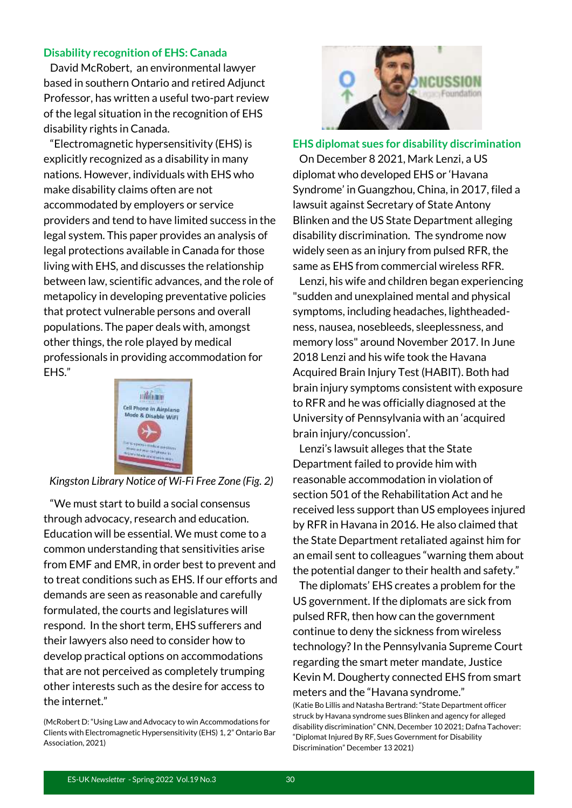#### **Disability recognition of EHS: Canada**

 David McRobert, an environmental lawyer based in southern Ontario and retired Adjunct Professor, has written a useful two-part review of the legal situation in the recognition of EHS disability rights in Canada.

 "Electromagnetic hypersensitivity (EHS) is explicitly recognized as a disability in many nations. However, individuals with EHS who make disability claims often are not accommodated by employers or service providers and tend to have limited success in the legal system. This paper provides an analysis of legal protections available in Canada for those living with EHS, and discusses the relationship between law, scientific advances, and the role of metapolicy in developing preventative policies that protect vulnerable persons and overall populations. The paper deals with, amongst other things, the role played by medical professionals in providing accommodation for EHS."



*Kingston Library Notice of Wi-Fi Free Zone (Fig. 2)*

 "We must start to build a social consensus through advocacy, research and education. Education will be essential. We must come to a common understanding that sensitivities arise from EMF and EMR, in order best to prevent and to treat conditions such as EHS. If our efforts and demands are seen as reasonable and carefully formulated, the courts and legislatures will respond. In the short term, EHS sufferers and their lawyers also need to consider how to develop practical options on accommodations that are not perceived as completely trumping other interests such as the desire for access to the internet."



#### **EHS diplomat sues for disability discrimination**

 On December 8 2021, Mark Lenzi, a US diplomat who developed EHS or 'Havana Syndrome' in Guangzhou, China, in 2017, filed a lawsuit against Secretary of State Antony Blinken and the US State Department alleging disability discrimination. The syndrome now widely seen as an injury from pulsed RFR, the same as EHS from commercial wireless RFR.

 Lenzi, his wife and children began experiencing "sudden and unexplained mental and physical symptoms, including headaches, lightheadedness, nausea, nosebleeds, sleeplessness, and memory loss" around November 2017. In June 2018 Lenzi and his wife took the Havana Acquired Brain Injury Test (HABIT). Both had brain injury symptoms consistent with exposure to RFR and he was officially diagnosed at the University of Pennsylvania with an 'acquired brain injury/concussion'.

 Lenzi's lawsuit alleges that the State Department failed to provide him with reasonable accommodation in violation of section 501 of the Rehabilitation Act and he received less support than US employees injured by RFR in Havana in 2016. He also claimed that the State Department retaliated against him for an email sent to colleagues "warning them about the potential danger to their health and safety."

 The diplomats' EHS creates a problem for the US government. If the diplomats are sick from pulsed RFR, then how can the government continue to deny the sickness from wireless technology? In the Pennsylvania Supreme Court regarding the smart meter mandate, Justice Kevin M. Dougherty connected EHS from smart meters and the "Havana syndrome."

(Katie Bo Lillis and Natasha Bertrand: "State Department officer struck by Havana syndrome sues Blinken and agency for alleged disability discrimination" CNN, December 10 2021; Dafna Tachover: "Diplomat Injured By RF, Sues Government for Disability Discrimination" December 13 2021)

<sup>(</sup>McRobert D: "Using Law and Advocacy to win Accommodations for Clients with Electromagnetic Hypersensitivity (EHS) 1, 2" Ontario Bar Association, 2021)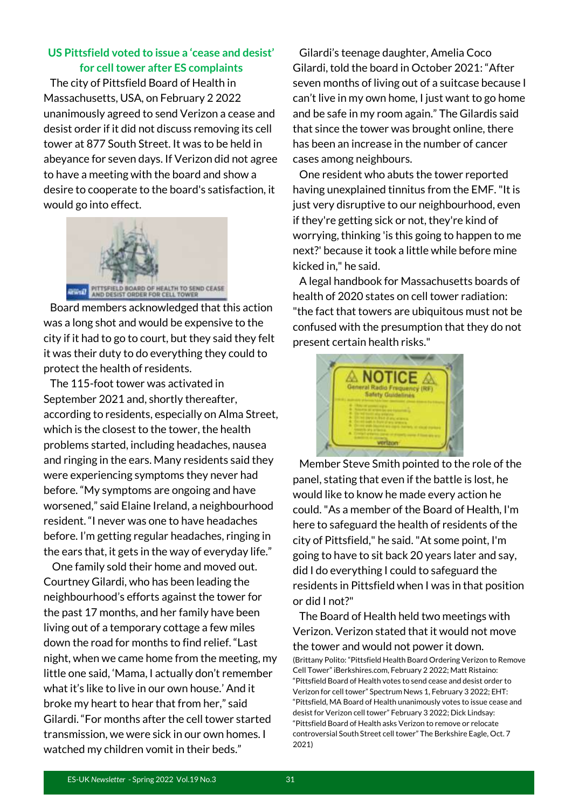#### **US Pittsfield voted to issue a 'cease and desist' for cell tower after ES complaints**

 The city of Pittsfield Board of Health in Massachusetts, USA, on February 2 2022 unanimously agreed to send Verizon a cease and desist order if it did not discuss removing its cell tower at 877 South Street. It was to be held in abeyance for seven days. If Verizon did not agree to have a meeting with the board and show a desire to cooperate to the board's satisfaction, it would go into effect.



 Board members acknowledged that this action was a long shot and would be expensive to the city if it had to go to court, but they said they felt it was their duty to do everything they could to protect the health of residents.

 The 115-foot tower was activated in September 2021 and, shortly thereafter, according to residents, especially on Alma Street, which is the closest to the tower, the health problems started, including headaches, nausea and ringing in the ears. Many residents said they were experiencing symptoms they never had before. "My symptoms are ongoing and have worsened," said Elaine Ireland, a neighbourhood resident. "I never was one to have headaches before. I'm getting regular headaches, ringing in the ears that, it gets in the way of everyday life."

 One family sold their home and moved out. Courtney Gilardi, who has been leading the neighbourhood's efforts against the tower for the past 17 months, and her family have been living out of a temporary cottage a few miles down the road for months to find relief. "Last night, when we came home from the meeting, my little one said, 'Mama, I actually don't remember what it's like to live in our own house.' And it broke my heart to hear that from her," said Gilardi. "For months after the cell tower started transmission, we were sick in our own homes. I watched my children vomit in their beds."

 Gilardi's teenage daughter, Amelia Coco Gilardi, told the board in October 2021: "After seven months of living out of a suitcase because I can't live in my own home, I just want to go home and be safe in my room again." The Gilardis said that since the tower was brought online, there has been an increase in the number of cancer cases among neighbours.

 One resident who abuts the tower reported having unexplained tinnitus from the EMF. "It is just very disruptive to our neighbourhood, even if they're getting sick or not, they're kind of worrying, thinking 'is this going to happen to me next?' because it took a little while before mine kicked in," he said.

 A legal handbook for Massachusetts boards of health of 2020 states on cell tower radiation: "the fact that towers are ubiquitous must not be confused with the presumption that they do not present certain health risks."



 Member Steve Smith pointed to the role of the panel, stating that even if the battle is lost, he would like to know he made every action he could. "As a member of the Board of Health, I'm here to safeguard the health of residents of the city of Pittsfield," he said. "At some point, I'm going to have to sit back 20 years later and say, did I do everything I could to safeguard the residents in Pittsfield when I was in that position or did I not?"

 The Board of Health held two meetings with Verizon. Verizon stated that it would not move the tower and would not power it down. (Brittany Polito: "Pittsfield Health Board Ordering Verizon to Remove Cell Tower" iBerkshires.com, February 2 2022; Matt Ristaino: "Pittsfield Board of Health votes to send cease and desist order to Verizon for cell tower" Spectrum News 1, February 3 2022; EHT: "Pittsfield, MA Board of Health unanimously votes to issue cease and desist for Verizon cell tower" February 3 2022; Dick Lindsay: "Pittsfield Board of Health asks Verizon to remove or relocate controversial South Street cell tower" The Berkshire Eagle, Oct. 7 2021)